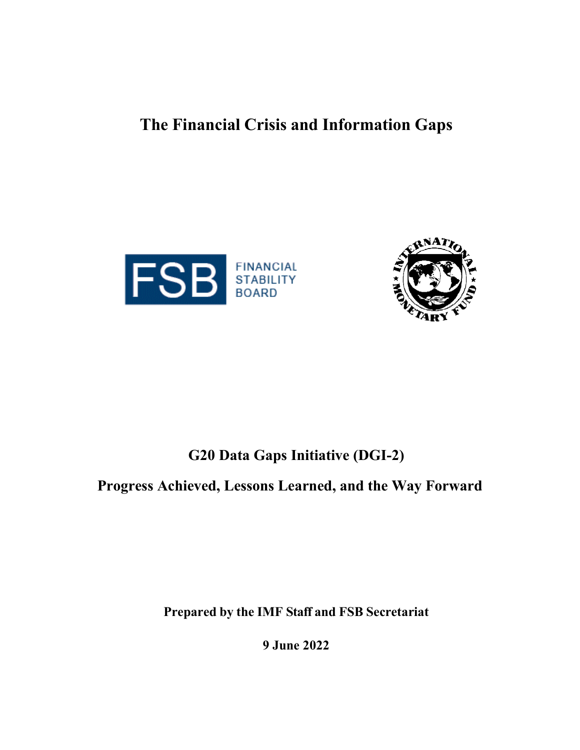# **The Financial Crisis and Information Gaps**





# **G20 Data Gaps Initiative (DGI-2)**

# **Progress Achieved, Lessons Learned, and the Way Forward**

**Prepared by the IMF Staff and FSB Secretariat**

**9 June 2022**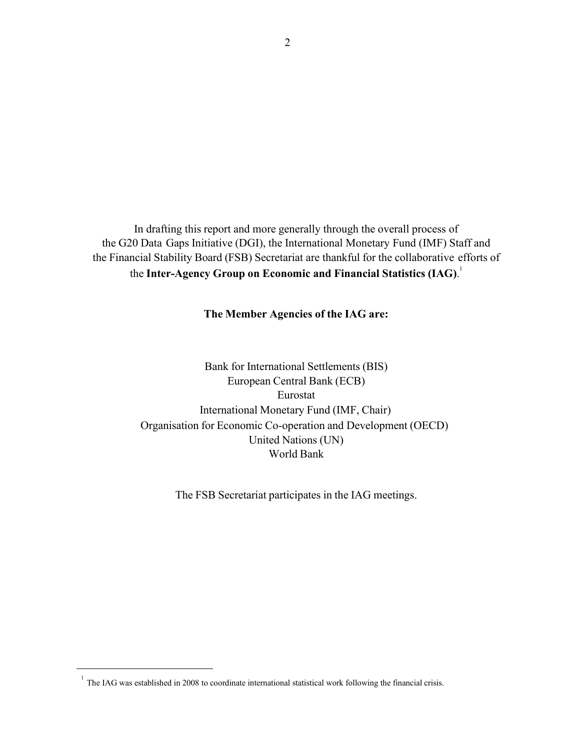In drafting this report and more generally through the overall process of the G20 Data Gaps Initiative (DGI), the International Monetary Fund (IMF) Staff and the Financial Stability Board (FSB) Secretariat are thankful for the collaborative efforts of the **Inter-Agency Group on Economic and Financial Statistics (IAG)**. 1

### **The Member Agencies of the IAG are:**

Bank for International Settlements (BIS) European Central Bank (ECB) Eurostat International Monetary Fund (IMF, Chair) Organisation for Economic Co-operation and Development (OECD) United Nations (UN) World Bank

The FSB Secretariat participates in the IAG meetings.

<sup>&</sup>lt;sup>1</sup> The IAG was established in 2008 to coordinate international statistical work following the financial crisis.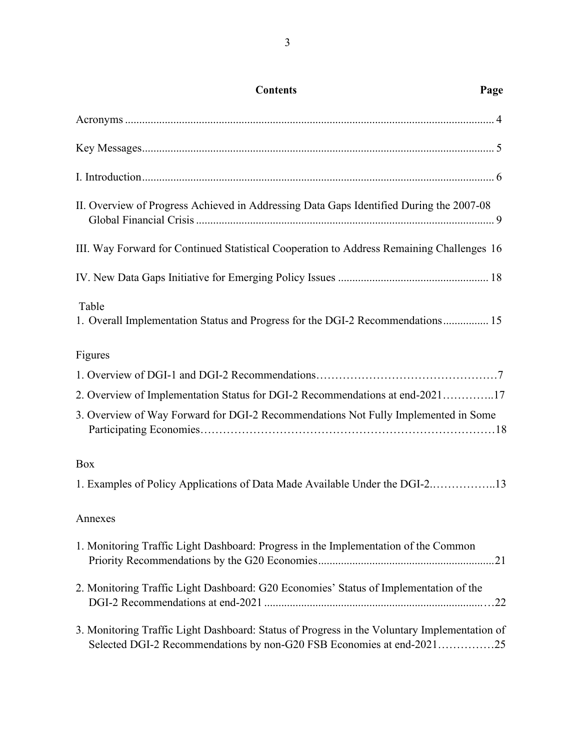| <b>Contents</b>                                                                                                                                                       | Page |
|-----------------------------------------------------------------------------------------------------------------------------------------------------------------------|------|
|                                                                                                                                                                       |      |
|                                                                                                                                                                       |      |
|                                                                                                                                                                       |      |
| II. Overview of Progress Achieved in Addressing Data Gaps Identified During the 2007-08                                                                               |      |
| III. Way Forward for Continued Statistical Cooperation to Address Remaining Challenges 16                                                                             |      |
|                                                                                                                                                                       |      |
| Table<br>1. Overall Implementation Status and Progress for the DGI-2 Recommendations 15                                                                               |      |
| Figures                                                                                                                                                               |      |
|                                                                                                                                                                       |      |
| 2. Overview of Implementation Status for DGI-2 Recommendations at end-202117                                                                                          |      |
| 3. Overview of Way Forward for DGI-2 Recommendations Not Fully Implemented in Some                                                                                    |      |
| Box                                                                                                                                                                   |      |
| 1. Examples of Policy Applications of Data Made Available Under the DGI-213                                                                                           |      |
| Annexes                                                                                                                                                               |      |
| 1. Monitoring Traffic Light Dashboard: Progress in the Implementation of the Common                                                                                   |      |
| 2. Monitoring Traffic Light Dashboard: G20 Economies' Status of Implementation of the                                                                                 |      |
| 3. Monitoring Traffic Light Dashboard: Status of Progress in the Voluntary Implementation of<br>Selected DGI-2 Recommendations by non-G20 FSB Economies at end-202125 |      |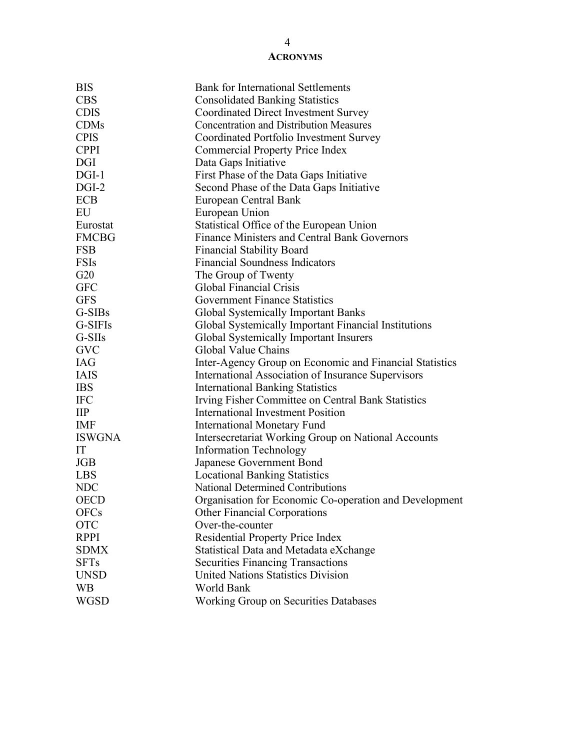### **ACRONYMS**

| <b>BIS</b>     | <b>Bank for International Settlements</b>               |
|----------------|---------------------------------------------------------|
| <b>CBS</b>     | <b>Consolidated Banking Statistics</b>                  |
| <b>CDIS</b>    | <b>Coordinated Direct Investment Survey</b>             |
| <b>CDMs</b>    | <b>Concentration and Distribution Measures</b>          |
| <b>CPIS</b>    | Coordinated Portfolio Investment Survey                 |
| <b>CPPI</b>    | <b>Commercial Property Price Index</b>                  |
| <b>DGI</b>     | Data Gaps Initiative                                    |
| $DGI-1$        | First Phase of the Data Gaps Initiative                 |
| $DGI-2$        | Second Phase of the Data Gaps Initiative                |
| <b>ECB</b>     | European Central Bank                                   |
| EU             | European Union                                          |
| Eurostat       | Statistical Office of the European Union                |
| <b>FMCBG</b>   | <b>Finance Ministers and Central Bank Governors</b>     |
| <b>FSB</b>     | <b>Financial Stability Board</b>                        |
| <b>FSIs</b>    | <b>Financial Soundness Indicators</b>                   |
| G20            | The Group of Twenty                                     |
| <b>GFC</b>     | <b>Global Financial Crisis</b>                          |
| <b>GFS</b>     | <b>Government Finance Statistics</b>                    |
| G-SIBs         | <b>Global Systemically Important Banks</b>              |
| G-SIFIs        | Global Systemically Important Financial Institutions    |
| $G-SIIs$       | Global Systemically Important Insurers                  |
| <b>GVC</b>     | Global Value Chains                                     |
| <b>IAG</b>     | Inter-Agency Group on Economic and Financial Statistics |
| <b>IAIS</b>    | International Association of Insurance Supervisors      |
| <b>IBS</b>     | <b>International Banking Statistics</b>                 |
| <b>IFC</b>     | Irving Fisher Committee on Central Bank Statistics      |
| $\mathbf{IIP}$ | <b>International Investment Position</b>                |
| <b>IMF</b>     | <b>International Monetary Fund</b>                      |
| <b>ISWGNA</b>  | Intersecretariat Working Group on National Accounts     |
| IT             | <b>Information Technology</b>                           |
| <b>JGB</b>     | Japanese Government Bond                                |
| <b>LBS</b>     | <b>Locational Banking Statistics</b>                    |
| <b>NDC</b>     | <b>National Determined Contributions</b>                |
| <b>OECD</b>    | Organisation for Economic Co-operation and Development  |
| <b>OFCs</b>    | <b>Other Financial Corporations</b>                     |
| <b>OTC</b>     | Over-the-counter                                        |
| <b>RPPI</b>    | <b>Residential Property Price Index</b>                 |
| <b>SDMX</b>    | Statistical Data and Metadata eXchange                  |
| <b>SFTs</b>    | <b>Securities Financing Transactions</b>                |
| <b>UNSD</b>    | <b>United Nations Statistics Division</b>               |
| <b>WB</b>      | World Bank                                              |
| <b>WGSD</b>    | Working Group on Securities Databases                   |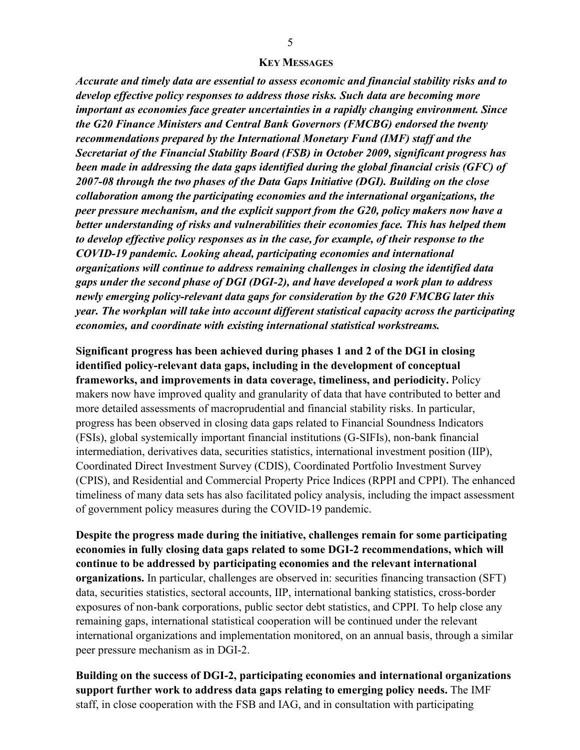#### **KEY MESSAGES**

*Accurate and timely data are essential to assess economic and financial stability risks and to develop effective policy responses to address those risks. Such data are becoming more important as economies face greater uncertainties in a rapidly changing environment. Since the G20 Finance Ministers and Central Bank Governors (FMCBG) endorsed the twenty recommendations prepared by the International Monetary Fund (IMF) staff and the Secretariat of the Financial Stability Board (FSB) in October 2009, significant progress has been made in addressing the data gaps identified during the global financial crisis (GFC) of 2007-08 through the two phases of the Data Gaps Initiative (DGI). Building on the close collaboration among the participating economies and the international organizations, the peer pressure mechanism, and the explicit support from the G20, policy makers now have a better understanding of risks and vulnerabilities their economies face. This has helped them to develop effective policy responses as in the case, for example, of their response to the COVID-19 pandemic. Looking ahead, participating economies and international organizations will continue to address remaining challenges in closing the identified data gaps under the second phase of DGI (DGI-2), and have developed a work plan to address newly emerging policy-relevant data gaps for consideration by the G20 FMCBG later this year. The workplan will take into account different statistical capacity across the participating economies, and coordinate with existing international statistical workstreams.*

**Significant progress has been achieved during phases 1 and 2 of the DGI in closing identified policy-relevant data gaps, including in the development of conceptual frameworks, and improvements in data coverage, timeliness, and periodicity.** Policy makers now have improved quality and granularity of data that have contributed to better and more detailed assessments of macroprudential and financial stability risks. In particular, progress has been observed in closing data gaps related to Financial Soundness Indicators (FSIs), global systemically important financial institutions (G-SIFIs), non-bank financial intermediation, derivatives data, securities statistics, international investment position (IIP), Coordinated Direct Investment Survey (CDIS), Coordinated Portfolio Investment Survey (CPIS), and Residential and Commercial Property Price Indices (RPPI and CPPI). The enhanced timeliness of many data sets has also facilitated policy analysis, including the impact assessment of government policy measures during the COVID-19 pandemic.

**Despite the progress made during the initiative, challenges remain for some participating economies in fully closing data gaps related to some DGI-2 recommendations, which will continue to be addressed by participating economies and the relevant international organizations.** In particular, challenges are observed in: securities financing transaction (SFT) data, securities statistics, sectoral accounts, IIP, international banking statistics, cross-border exposures of non-bank corporations, public sector debt statistics, and CPPI. To help close any remaining gaps, international statistical cooperation will be continued under the relevant international organizations and implementation monitored, on an annual basis, through a similar peer pressure mechanism as in DGI-2.

**Building on the success of DGI-2, participating economies and international organizations support further work to address data gaps relating to emerging policy needs.** The IMF staff, in close cooperation with the FSB and IAG, and in consultation with participating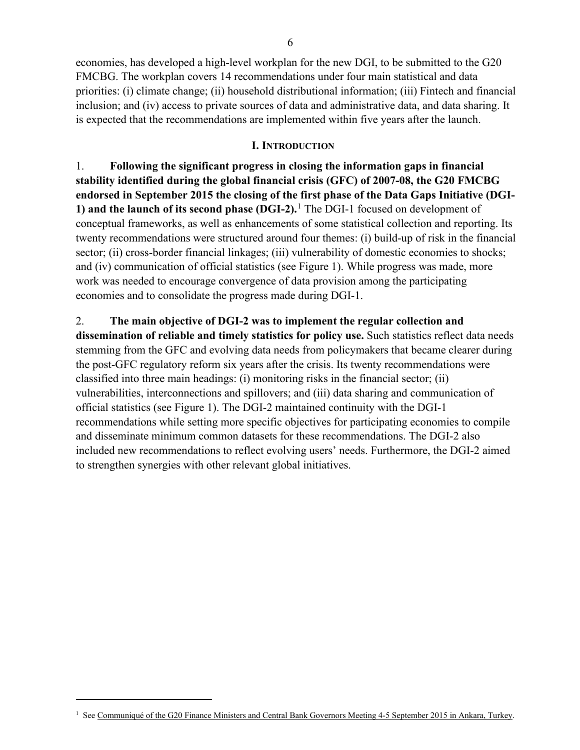economies, has developed a high-level workplan for the new DGI, to be submitted to the G20 FMCBG. The workplan covers 14 recommendations under four main statistical and data priorities: (i) climate change; (ii) household distributional information; (iii) Fintech and financial inclusion; and (iv) access to private sources of data and administrative data, and data sharing. It is expected that the recommendations are implemented within five years after the launch.

#### **I. INTRODUCTION**

1. **Following the significant progress in closing the information gaps in financial stability identified during the global financial crisis (GFC) of 2007-08, the G20 FMCBG endorsed in September 2015 the closing of the first phase of the Data Gaps Initiative (DGI-1) and the launch of its second phase (DGI-2).** [1](#page-5-0) The DGI-1 focused on development of conceptual frameworks, as well as enhancements of some statistical collection and reporting. Its twenty recommendations were structured around four themes: (i) build-up of risk in the financial sector; (ii) cross-border financial linkages; (iii) vulnerability of domestic economies to shocks; and (iv) communication of official statistics (see Figure 1). While progress was made, more work was needed to encourage convergence of data provision among the participating economies and to consolidate the progress made during DGI-1.

### 2. **The main objective of DGI-2 was to implement the regular collection and**

**dissemination of reliable and timely statistics for policy use.** Such statistics reflect data needs stemming from the GFC and evolving data needs from policymakers that became clearer during the post-GFC regulatory reform six years after the crisis. Its twenty recommendations were classified into three main headings: (i) monitoring risks in the financial sector; (ii) vulnerabilities, interconnections and spillovers; and (iii) data sharing and communication of official statistics (see Figure 1). The DGI-2 maintained continuity with the DGI-1 recommendations while setting more specific objectives for participating economies to compile and disseminate minimum common datasets for these recommendations. The DGI-2 also included new recommendations to reflect evolving users' needs. Furthermore, the DGI-2 aimed to strengthen synergies with other relevant global initiatives.

<span id="page-5-0"></span><sup>&</sup>lt;sup>1</sup> Se[e Communiqué of the G20 Finance Ministers and Central Bank Governors Meeting 4-5 September 2015 in Ankara, Turkey.](https://www.banque-france.fr/sites/default/files/media/2016/10/21/ankara-communique_2015-09.pdf)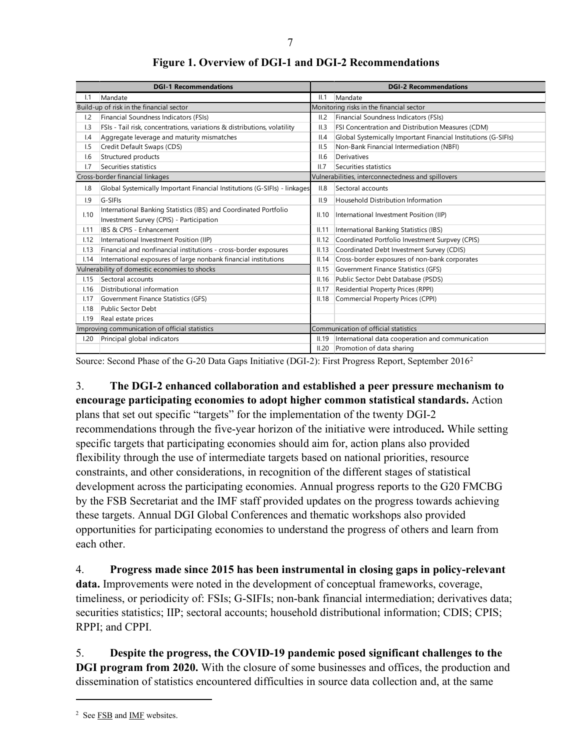|               | <b>DGI-1 Recommendations</b>                                                                                 |       | <b>DGI-2 Recommendations</b>                                   |
|---------------|--------------------------------------------------------------------------------------------------------------|-------|----------------------------------------------------------------|
| 1.1           | Mandate                                                                                                      | II.1  | Mandate                                                        |
|               | Build-up of risk in the financial sector                                                                     |       | Monitoring risks in the financial sector                       |
| 1.2           | Financial Soundness Indicators (FSIs)                                                                        | II.2  | Financial Soundness Indicators (FSIs)                          |
| 1.3           | FSIs - Tail risk, concentrations, variations & distributions, volatility                                     | II.3  | FSI Concentration and Distribution Measures (CDM)              |
| $\mathsf{I}4$ | Aggregate leverage and maturity mismatches                                                                   | II.4  | Global Systemically Important Financial Institutions (G-SIFIs) |
| 1.5           | Credit Default Swaps (CDS)                                                                                   | II.5  | Non-Bank Financial Intermediation (NBFI)                       |
| 1.6           | Structured products                                                                                          | II.6  | <b>Derivatives</b>                                             |
| 1.7           | Securities statistics                                                                                        | II.7  | Securities statistics                                          |
|               | Cross-border financial linkages                                                                              |       | Vulnerabilities, interconnectedness and spillovers             |
| 1.8           | Global Systemically Important Financial Institutions (G-SIFIs) - linkages                                    | II.8  | Sectoral accounts                                              |
| 1.9           | G-SIFIs                                                                                                      | II.9  | Household Distribution Information                             |
| 1.10          | International Banking Statistics (IBS) and Coordinated Portfolio<br>Investment Survey (CPIS) - Participation | II.10 | International Investment Position (IIP)                        |
| 1.11          | IBS & CPIS - Enhancement                                                                                     | II.11 | International Banking Statistics (IBS)                         |
| 1.12          | International Investment Position (IIP)                                                                      | II.12 | Coordinated Portfolio Investment Surpvey (CPIS)                |
| 1.13          | Financial and nonfinancial institutions - cross-border exposures                                             | II.13 | Coordinated Debt Investment Survey (CDIS)                      |
| 1.14          | International exposures of large nonbank financial institutions                                              | II.14 | Cross-border exposures of non-bank corporates                  |
|               | Vulnerability of domestic economies to shocks                                                                | II.15 | Government Finance Statistics (GFS)                            |
| 1.15          | Sectoral accounts                                                                                            | II.16 | Public Sector Debt Database (PSDS)                             |
| 1.16          | Distributional information                                                                                   | II.17 | Residential Property Prices (RPPI)                             |
| 1.17          | Government Finance Statistics (GFS)                                                                          | II.18 | Commercial Property Prices (CPPI)                              |
| 1.18          | Public Sector Debt                                                                                           |       |                                                                |
| 1.19          | Real estate prices                                                                                           |       |                                                                |
|               | Improving communication of official statistics                                                               |       | Communication of official statistics                           |
| 1.20          | Principal global indicators                                                                                  | II.19 | International data cooperation and communication               |
|               |                                                                                                              | II.20 | Promotion of data sharing                                      |

### **Figure 1. Overview of DGI-1 and DGI-2 Recommendations**

Source: Second Phase of the G-[2](#page-6-0)0 Data Gaps Initiative (DGI-2): First Progress Report, September 2016<sup>2</sup>

### 3. **The DGI-2 enhanced collaboration and established a peer pressure mechanism to encourage participating economies to adopt higher common statistical standards.** Action

plans that set out specific "targets" for the implementation of the twenty DGI-2 recommendations through the five-year horizon of the initiative were introduced**.** While setting specific targets that participating economies should aim for, action plans also provided flexibility through the use of intermediate targets based on national priorities, resource constraints, and other considerations, in recognition of the different stages of statistical development across the participating economies. Annual progress reports to the G20 FMCBG by the FSB Secretariat and the IMF staff provided updates on the progress towards achieving these targets. Annual DGI Global Conferences and thematic workshops also provided opportunities for participating economies to understand the progress of others and learn from each other.

4. **Progress made since 2015 has been instrumental in closing gaps in policy-relevant data.** Improvements were noted in the development of conceptual frameworks, coverage, timeliness, or periodicity of: FSIs; G-SIFIs; non-bank financial intermediation; derivatives data; securities statistics; IIP; sectoral accounts; household distributional information; CDIS; CPIS; RPPI; and CPPI.

5. **Despite the progress, the COVID-19 pandemic posed significant challenges to the DGI program from 2020.** With the closure of some businesses and offices, the production and dissemination of statistics encountered difficulties in source data collection and, at the same

<span id="page-6-0"></span><sup>2</sup> Se[e FSB](https://www.fsb.org/wp-content/uploads/Second-phase-of-the-G20-Data-Gaps-Initiative-DGI-2-First-Progress-Report.pdf) an[d IMF](https://www.imf.org/en/News/Seminars/Conferences/DGI/g20-dgi-progress-reports-and-other-documents) websites.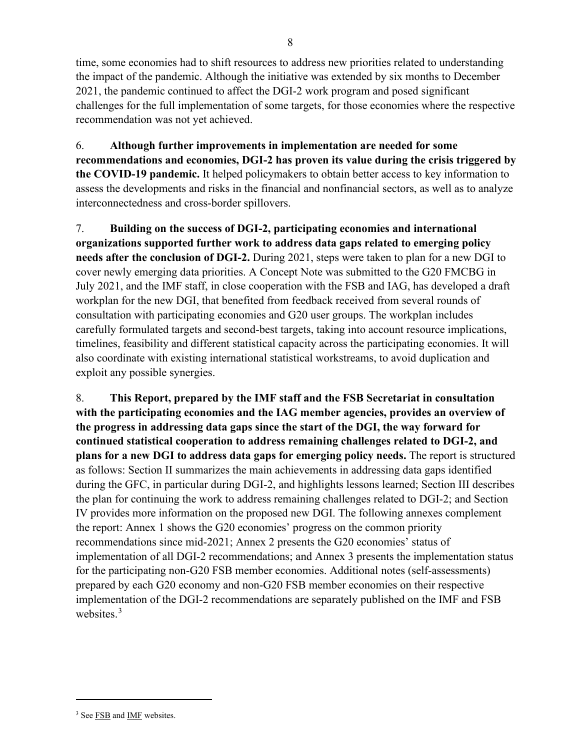time, some economies had to shift resources to address new priorities related to understanding the impact of the pandemic. Although the initiative was extended by six months to December 2021, the pandemic continued to affect the DGI-2 work program and posed significant challenges for the full implementation of some targets, for those economies where the respective recommendation was not yet achieved.

6. **Although further improvements in implementation are needed for some recommendations and economies, DGI-2 has proven its value during the crisis triggered by the COVID-19 pandemic.** It helped policymakers to obtain better access to key information to assess the developments and risks in the financial and nonfinancial sectors, as well as to analyze interconnectedness and cross-border spillovers.

7. **Building on the success of DGI-2, participating economies and international organizations supported further work to address data gaps related to emerging policy needs after the conclusion of DGI-2.** During 2021, steps were taken to plan for a new DGI to cover newly emerging data priorities. A Concept Note was submitted to the G20 FMCBG in July 2021, and the IMF staff, in close cooperation with the FSB and IAG, has developed a draft workplan for the new DGI, that benefited from feedback received from several rounds of consultation with participating economies and G20 user groups. The workplan includes carefully formulated targets and second-best targets, taking into account resource implications, timelines, feasibility and different statistical capacity across the participating economies. It will also coordinate with existing international statistical workstreams, to avoid duplication and exploit any possible synergies.

8. **This Report, prepared by the IMF staff and the FSB Secretariat in consultation with the participating economies and the IAG member agencies, provides an overview of the progress in addressing data gaps since the start of the DGI, the way forward for continued statistical cooperation to address remaining challenges related to DGI-2, and plans for a new DGI to address data gaps for emerging policy needs.** The report is structured as follows: Section II summarizes the main achievements in addressing data gaps identified during the GFC, in particular during DGI-2, and highlights lessons learned; Section III describes the plan for continuing the work to address remaining challenges related to DGI-2; and Section IV provides more information on the proposed new DGI. The following annexes complement the report: Annex 1 shows the G20 economies' progress on the common priority recommendations since mid-2021; Annex 2 presents the G20 economies' status of implementation of all DGI-2 recommendations; and Annex 3 presents the implementation status for the participating non-G20 FSB member economies. Additional notes (self-assessments) prepared by each G20 economy and non-G20 FSB member economies on their respective implementation of the DGI-2 recommendations are separately published on the IMF and FSB websites.<sup>[3](#page-7-0)</sup>

<span id="page-7-0"></span><sup>&</sup>lt;sup>3</sup> Se[e FSB](https://www.fsb.org/wp-content/uploads/P090622-2.pdf) and [IMF](https://www.imf.org/-/media/Files/Research/imf-and-g20/2022/g20-dgi-2-status-of-progress-and-key-challenges-update-end-2021.ashx) websites.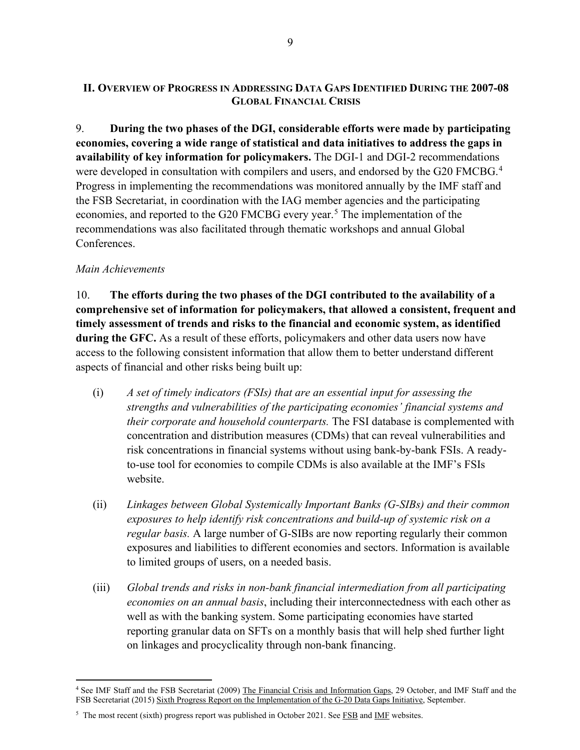### **II. OVERVIEW OF PROGRESS IN ADDRESSING DATA GAPS IDENTIFIED DURING THE 2007-08 GLOBAL FINANCIAL CRISIS**

9. **During the two phases of the DGI, considerable efforts were made by participating economies, covering a wide range of statistical and data initiatives to address the gaps in availability of key information for policymakers.** The DGI-1 and DGI-2 recommendations were developed in consultation with compilers and users, and endorsed by the G20 FMCBG.<sup>[4](#page-8-0)</sup> Progress in implementing the recommendations was monitored annually by the IMF staff and the FSB Secretariat, in coordination with the IAG member agencies and the participating economies, and reported to the G20 FMCBG every year.<sup>[5](#page-8-1)</sup> The implementation of the recommendations was also facilitated through thematic workshops and annual Global Conferences.

### *Main Achievements*

10. **The efforts during the two phases of the DGI contributed to the availability of a comprehensive set of information for policymakers, that allowed a consistent, frequent and timely assessment of trends and risks to the financial and economic system, as identified during the GFC.** As a result of these efforts, policymakers and other data users now have access to the following consistent information that allow them to better understand different aspects of financial and other risks being built up:

- (i) *A set of timely indicators (FSIs) that are an essential input for assessing the strengths and vulnerabilities of the participating economies' financial systems and their corporate and household counterparts.* The FSI database is complemented with concentration and distribution measures (CDMs) that can reveal vulnerabilities and risk concentrations in financial systems without using bank-by-bank FSIs. A readyto-use tool for economies to compile CDMs is also available at the IMF's FSIs website.
- (ii) *Linkages between Global Systemically Important Banks (G-SIBs) and their common exposures to help identify risk concentrations and build-up of systemic risk on a regular basis.* A large number of G-SIBs are now reporting regularly their common exposures and liabilities to different economies and sectors. Information is available to limited groups of users, on a needed basis.
- (iii) *Global trends and risks in non-bank financial intermediation from all participating economies on an annual basis*, including their interconnectedness with each other as well as with the banking system. Some participating economies have started reporting granular data on SFTs on a monthly basis that will help shed further light on linkages and procyclicality through non-bank financing.

<span id="page-8-0"></span><sup>4</sup> See IMF Staff and the FSB Secretariat (2009) [The Financial Crisis and Information Gaps,](https://www.fsb.org/wp-content/uploads/r_091029.pdf) 29 October, and IMF Staff and the FSB Secretariat (2015[\) Sixth Progress Report on the Implementation of the G-20 Data Gaps Initiative,](https://www.fsb.org/wp-content/uploads/The-Financial-Crisis-and-Information-Gaps.pdf) September.

<span id="page-8-1"></span><sup>&</sup>lt;sup>5</sup> The most recent (sixth) progress report was published in October 2021. Se[e FSB](https://www.fsb.org/2021/10/g20-data-gaps-initiative-dgi-2-the-sixth-progress-report-countdown-to-december-2021/) an[d IMF](https://www.imf.org/-/media/Files/Research/imf-and-g20/2021/g20-data-gaps-initiative-dgi-2-sixth-progress-report.ashx) websites.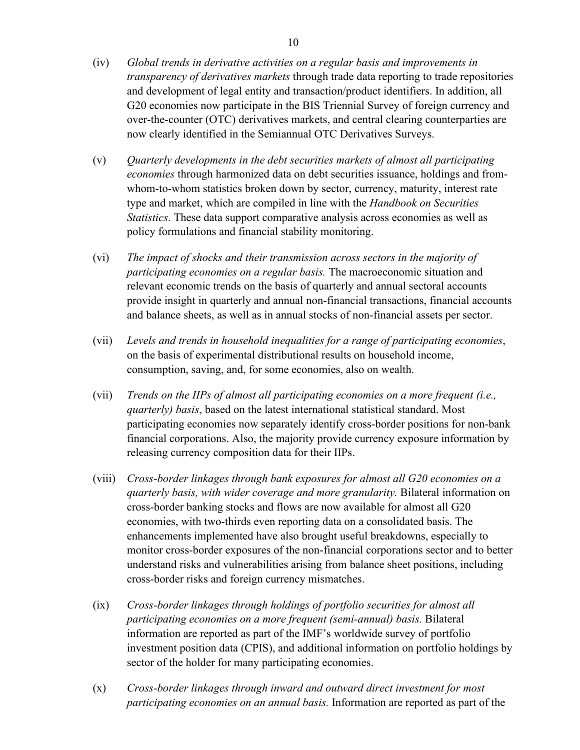- (iv) *Global trends in derivative activities on a regular basis and improvements in transparency of derivatives markets* through trade data reporting to trade repositories and development of legal entity and transaction/product identifiers. In addition, all G20 economies now participate in the BIS Triennial Survey of foreign currency and over-the-counter (OTC) derivatives markets, and central clearing counterparties are now clearly identified in the Semiannual OTC Derivatives Surveys.
- (v) *Quarterly developments in the debt securities markets of almost all participating economies* through harmonized data on debt securities issuance, holdings and fromwhom-to-whom statistics broken down by sector, currency, maturity, interest rate type and market, which are compiled in line with the *Handbook on Securities Statistics*. These data support comparative analysis across economies as well as policy formulations and financial stability monitoring.
- (vi) *The impact of shocks and their transmission across sectors in the majority of participating economies on a regular basis.* The macroeconomic situation and relevant economic trends on the basis of quarterly and annual sectoral accounts provide insight in quarterly and annual non-financial transactions, financial accounts and balance sheets, as well as in annual stocks of non-financial assets per sector.
- (vii) *Levels and trends in household inequalities for a range of participating economies*, on the basis of experimental distributional results on household income, consumption, saving, and, for some economies, also on wealth.
- (vii) *Trends on the IIPs of almost all participating economies on a more frequent (i.e., quarterly) basis*, based on the latest international statistical standard. Most participating economies now separately identify cross-border positions for non-bank financial corporations. Also, the majority provide currency exposure information by releasing currency composition data for their IIPs.
- (viii) *Cross-border linkages through bank exposures for almost all G20 economies on a quarterly basis, with wider coverage and more granularity.* Bilateral information on cross-border banking stocks and flows are now available for almost all G20 economies, with two-thirds even reporting data on a consolidated basis. The enhancements implemented have also brought useful breakdowns, especially to monitor cross-border exposures of the non-financial corporations sector and to better understand risks and vulnerabilities arising from balance sheet positions, including cross-border risks and foreign currency mismatches.
- (ix) *Cross-border linkages through holdings of portfolio securities for almost all participating economies on a more frequent (semi-annual) basis.* Bilateral information are reported as part of the IMF's worldwide survey of portfolio investment position data (CPIS), and additional information on portfolio holdings by sector of the holder for many participating economies.
- (x) *Cross-border linkages through inward and outward direct investment for most participating economies on an annual basis.* Information are reported as part of the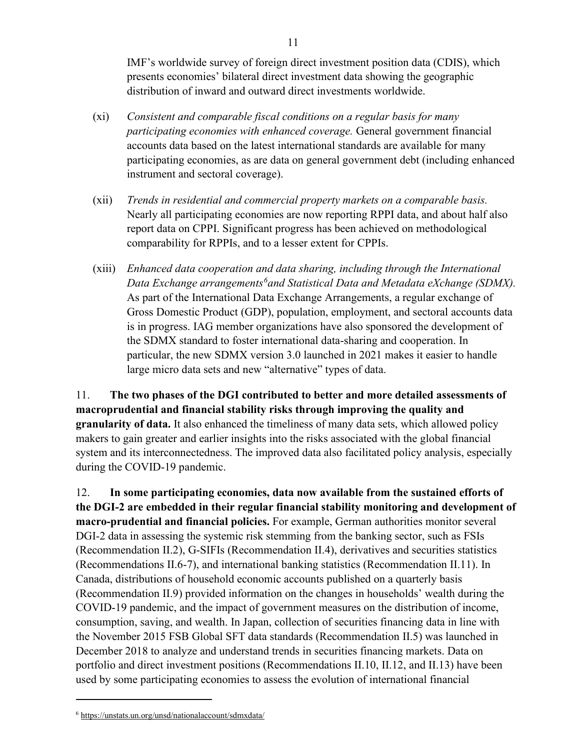IMF's worldwide survey of foreign direct investment position data (CDIS), which presents economies' bilateral direct investment data showing the geographic distribution of inward and outward direct investments worldwide.

- (xi) *Consistent and comparable fiscal conditions on a regular basis for many participating economies with enhanced coverage.* General government financial accounts data based on the latest international standards are available for many participating economies, as are data on general government debt (including enhanced instrument and sectoral coverage).
- (xii) *Trends in residential and commercial property markets on a comparable basis.*  Nearly all participating economies are now reporting RPPI data, and about half also report data on CPPI. Significant progress has been achieved on methodological comparability for RPPIs, and to a lesser extent for CPPIs.
- (xiii) *Enhanced data cooperation and data sharing, including through the International Data Exchange arrangements[6](#page-10-0) and Statistical Data and Metadata eXchange (SDMX).* As part of the International Data Exchange Arrangements, a regular exchange of Gross Domestic Product (GDP), population, employment, and sectoral accounts data is in progress. IAG member organizations have also sponsored the development of the SDMX standard to foster international data-sharing and cooperation. In particular, the new SDMX version 3.0 launched in 2021 makes it easier to handle large micro data sets and new "alternative" types of data.

11. **The two phases of the DGI contributed to better and more detailed assessments of macroprudential and financial stability risks through improving the quality and granularity of data.** It also enhanced the timeliness of many data sets, which allowed policy makers to gain greater and earlier insights into the risks associated with the global financial system and its interconnectedness. The improved data also facilitated policy analysis, especially during the COVID-19 pandemic.

12. **In some participating economies, data now available from the sustained efforts of the DGI-2 are embedded in their regular financial stability monitoring and development of macro-prudential and financial policies.** For example, German authorities monitor several DGI-2 data in assessing the systemic risk stemming from the banking sector, such as FSIs (Recommendation II.2), G-SIFIs (Recommendation II.4), derivatives and securities statistics (Recommendations II.6-7), and international banking statistics (Recommendation II.11). In Canada, distributions of household economic accounts published on a quarterly basis (Recommendation II.9) provided information on the changes in households' wealth during the COVID-19 pandemic, and the impact of government measures on the distribution of income, consumption, saving, and wealth. In Japan, collection of securities financing data in line with the November 2015 FSB Global SFT data standards (Recommendation II.5) was launched in December 2018 to analyze and understand trends in securities financing markets. Data on portfolio and direct investment positions (Recommendations II.10, II.12, and II.13) have been used by some participating economies to assess the evolution of international financial

<span id="page-10-0"></span><sup>6</sup> <https://unstats.un.org/unsd/nationalaccount/sdmxdata/>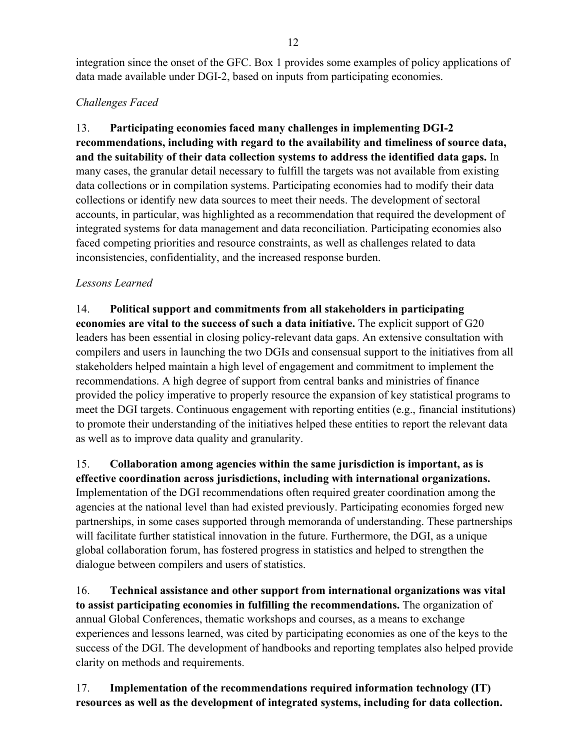integration since the onset of the GFC. Box 1 provides some examples of policy applications of data made available under DGI-2, based on inputs from participating economies.

## *Challenges Faced*

13. **Participating economies faced many challenges in implementing DGI-2 recommendations, including with regard to the availability and timeliness of source data, and the suitability of their data collection systems to address the identified data gaps.** In many cases, the granular detail necessary to fulfill the targets was not available from existing data collections or in compilation systems. Participating economies had to modify their data collections or identify new data sources to meet their needs. The development of sectoral accounts, in particular, was highlighted as a recommendation that required the development of integrated systems for data management and data reconciliation. Participating economies also faced competing priorities and resource constraints, as well as challenges related to data inconsistencies, confidentiality, and the increased response burden.

### *Lessons Learned*

14. **Political support and commitments from all stakeholders in participating economies are vital to the success of such a data initiative.** The explicit support of G20 leaders has been essential in closing policy-relevant data gaps. An extensive consultation with compilers and users in launching the two DGIs and consensual support to the initiatives from all stakeholders helped maintain a high level of engagement and commitment to implement the recommendations. A high degree of support from central banks and ministries of finance provided the policy imperative to properly resource the expansion of key statistical programs to meet the DGI targets. Continuous engagement with reporting entities (e.g., financial institutions) to promote their understanding of the initiatives helped these entities to report the relevant data as well as to improve data quality and granularity.

### 15. **Collaboration among agencies within the same jurisdiction is important, as is effective coordination across jurisdictions, including with international organizations.**

Implementation of the DGI recommendations often required greater coordination among the agencies at the national level than had existed previously. Participating economies forged new partnerships, in some cases supported through memoranda of understanding. These partnerships will facilitate further statistical innovation in the future. Furthermore, the DGI, as a unique global collaboration forum, has fostered progress in statistics and helped to strengthen the dialogue between compilers and users of statistics.

16. **Technical assistance and other support from international organizations was vital to assist participating economies in fulfilling the recommendations.** The organization of annual Global Conferences, thematic workshops and courses, as a means to exchange experiences and lessons learned, was cited by participating economies as one of the keys to the success of the DGI. The development of handbooks and reporting templates also helped provide clarity on methods and requirements.

# 17. **Implementation of the recommendations required information technology (IT) resources as well as the development of integrated systems, including for data collection.**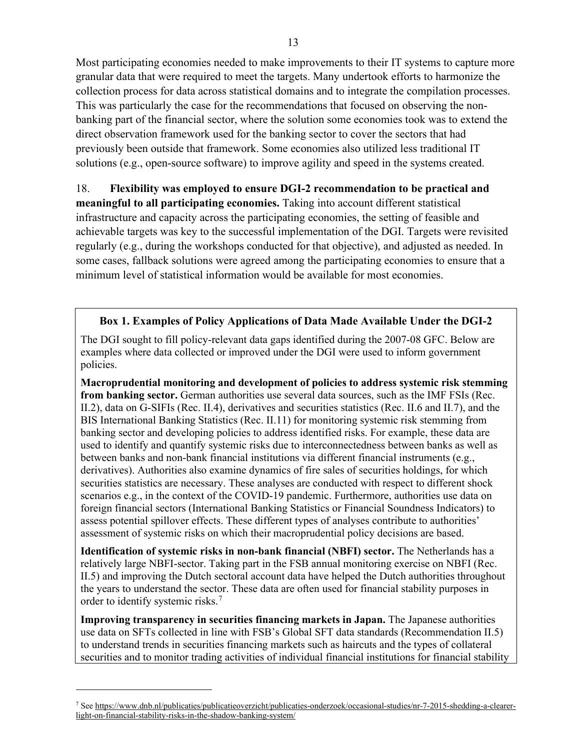Most participating economies needed to make improvements to their IT systems to capture more granular data that were required to meet the targets. Many undertook efforts to harmonize the collection process for data across statistical domains and to integrate the compilation processes. This was particularly the case for the recommendations that focused on observing the nonbanking part of the financial sector, where the solution some economies took was to extend the direct observation framework used for the banking sector to cover the sectors that had previously been outside that framework. Some economies also utilized less traditional IT solutions (e.g., open-source software) to improve agility and speed in the systems created.

18. **Flexibility was employed to ensure DGI-2 recommendation to be practical and meaningful to all participating economies.** Taking into account different statistical infrastructure and capacity across the participating economies, the setting of feasible and achievable targets was key to the successful implementation of the DGI. Targets were revisited regularly (e.g., during the workshops conducted for that objective), and adjusted as needed. In some cases, fallback solutions were agreed among the participating economies to ensure that a minimum level of statistical information would be available for most economies.

### **Box 1. Examples of Policy Applications of Data Made Available Under the DGI-2**

The DGI sought to fill policy-relevant data gaps identified during the 2007-08 GFC. Below are examples where data collected or improved under the DGI were used to inform government policies.

**Macroprudential monitoring and development of policies to address systemic risk stemming from banking sector.** German authorities use several data sources, such as the IMF FSIs (Rec. II.2), data on G-SIFIs (Rec. II.4), derivatives and securities statistics (Rec. II.6 and II.7), and the BIS International Banking Statistics (Rec. II.11) for monitoring systemic risk stemming from banking sector and developing policies to address identified risks. For example, these data are used to identify and quantify systemic risks due to interconnectedness between banks as well as between banks and non-bank financial institutions via different financial instruments (e.g., derivatives). Authorities also examine dynamics of fire sales of securities holdings, for which securities statistics are necessary. These analyses are conducted with respect to different shock scenarios e.g., in the context of the COVID-19 pandemic. Furthermore, authorities use data on foreign financial sectors (International Banking Statistics or Financial Soundness Indicators) to assess potential spillover effects. These different types of analyses contribute to authorities' assessment of systemic risks on which their macroprudential policy decisions are based.

**Identification of systemic risks in non-bank financial (NBFI) sector.** The Netherlands has a relatively large NBFI-sector. Taking part in the FSB annual monitoring exercise on NBFI (Rec. II.5) and improving the Dutch sectoral account data have helped the Dutch authorities throughout the years to understand the sector. These data are often used for financial stability purposes in order to identify systemic risks.<sup>[7](#page-12-0)</sup>

**Improving transparency in securities financing markets in Japan.** The Japanese authorities use data on SFTs collected in line with FSB's Global SFT data standards (Recommendation II.5) to understand trends in securities financing markets such as haircuts and the types of collateral securities and to monitor trading activities of individual financial institutions for financial stability

<span id="page-12-0"></span><sup>7</sup> Se[e https://www.dnb.nl/publicaties/publicatieoverzicht/publicaties-onderzoek/occasional-studies/nr-7-2015-shedding-a-clearer](https://www.dnb.nl/publicaties/publicatieoverzicht/publicaties-onderzoek/occasional-studies/nr-7-2015-shedding-a-clearer-light-on-financial-stability-risks-in-the-shadow-banking-system/)[light-on-financial-stability-risks-in-the-shadow-banking-system/](https://www.dnb.nl/publicaties/publicatieoverzicht/publicaties-onderzoek/occasional-studies/nr-7-2015-shedding-a-clearer-light-on-financial-stability-risks-in-the-shadow-banking-system/)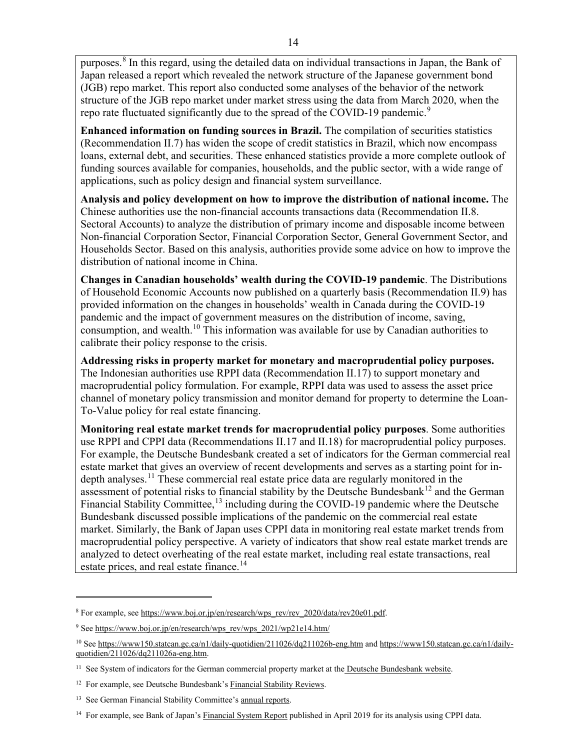purposes.[8](#page-13-0) In this regard, using the detailed data on individual transactions in Japan, the Bank of Japan released a report which revealed the network structure of the Japanese government bond (JGB) repo market. This report also conducted some analyses of the behavior of the network structure of the JGB repo market under market stress using the data from March 2020, when the repo rate fluctuated significantly due to the spread of the COVID-1[9](#page-13-1) pandemic.<sup>9</sup>

**Enhanced information on funding sources in Brazil.** The compilation of securities statistics (Recommendation II.7) has widen the scope of credit statistics in Brazil, which now encompass loans, external debt, and securities. These enhanced statistics provide a more complete outlook of funding sources available for companies, households, and the public sector, with a wide range of applications, such as policy design and financial system surveillance.

**Analysis and policy development on how to improve the distribution of national income.** The Chinese authorities use the non-financial accounts transactions data (Recommendation II.8. Sectoral Accounts) to analyze the distribution of primary income and disposable income between Non-financial Corporation Sector, Financial Corporation Sector, General Government Sector, and Households Sector. Based on this analysis, authorities provide some advice on how to improve the distribution of national income in China.

**Changes in Canadian households' wealth during the COVID-19 pandemic**. The Distributions of Household Economic Accounts now published on a quarterly basis (Recommendation II.9) has provided information on the changes in households' wealth in Canada during the COVID-19 pandemic and the impact of government measures on the distribution of income, saving, consumption, and wealth.<sup>[10](#page-13-2)</sup> This information was available for use by Canadian authorities to calibrate their policy response to the crisis.

**Addressing risks in property market for monetary and macroprudential policy purposes.** The Indonesian authorities use RPPI data (Recommendation II.17) to support monetary and macroprudential policy formulation. For example, RPPI data was used to assess the asset price channel of monetary policy transmission and monitor demand for property to determine the Loan-To-Value policy for real estate financing.

**Monitoring real estate market trends for macroprudential policy purposes**. Some authorities use RPPI and CPPI data (Recommendations II.17 and II.18) for macroprudential policy purposes. For example, the Deutsche Bundesbank created a set of indicators for the German commercial real estate market that gives an overview of recent developments and serves as a starting point for in-depth analyses.<sup>[11](#page-13-3)</sup> These commercial real estate price data are regularly monitored in the assessment of potential risks to financial stability by the Deutsche Bundesbank<sup>[12](#page-13-4)</sup> and the German Financial Stability Committee,<sup>[13](#page-13-5)</sup> including during the COVID-19 pandemic where the Deutsche Bundesbank discussed possible implications of the pandemic on the commercial real estate market. Similarly, the Bank of Japan uses CPPI data in monitoring real estate market trends from macroprudential policy perspective. A variety of indicators that show real estate market trends are analyzed to detect overheating of the real estate market, including real estate transactions, real estate prices, and real estate finance.<sup>[14](#page-13-6)</sup>

<span id="page-13-0"></span><sup>8</sup> For example, se[e https://www.boj.or.jp/en/research/wps\\_rev/rev\\_2020/data/rev20e01.pdf.](https://www.boj.or.jp/en/research/wps_rev/rev_2020/data/rev20e01.pdf)

<span id="page-13-1"></span><sup>&</sup>lt;sup>9</sup> See [https://www.boj.or.jp/en/research/wps\\_rev/wps\\_2021/wp21e14.htm/](https://www.boj.or.jp/en/research/wps_rev/wps_2021/wp21e14.htm/)

<span id="page-13-2"></span><sup>&</sup>lt;sup>10</sup> Se[e https://www150.statcan.gc.ca/n1/daily-quotidien/211026/dq211026b-eng.htm](https://www150.statcan.gc.ca/n1/daily-quotidien/211026/dq211026b-eng.htm) and [https://www150.statcan.gc.ca/n1/daily](https://www150.statcan.gc.ca/n1/daily-quotidien/211026/dq211026a-eng.htm)[quotidien/211026/dq211026a-eng.htm.](https://www150.statcan.gc.ca/n1/daily-quotidien/211026/dq211026a-eng.htm)

<span id="page-13-3"></span><sup>&</sup>lt;sup>11</sup> See System of indicators for the German commercial property market at the [Deutsche Bundesbank website.](https://www.bundesbank.de/en/statistics/sets-of-indicators/system-of-indicators-for-the-german-commercial-property-market/system-of-indicators-for-the-german-commercial-property-market-795270)

<span id="page-13-4"></span><sup>&</sup>lt;sup>12</sup> For example, see Deutsche Bundesbank's [Financial Stability Reviews.](https://www.bundesbank.de/en/publications/reports/financial-stability-reviews)

<span id="page-13-5"></span><sup>&</sup>lt;sup>13</sup> See German Financial Stability Committee'[s annual reports.](https://www.afs-bund.de/afs/EN/Activities-of-the-FSC/Reports-by-the-Financial-Stability-Committee/reports-by-the-financial-stability-committee.html)

<span id="page-13-6"></span><sup>&</sup>lt;sup>14</sup> For example, see Bank of Japan'[s Financial System Report](https://www.boj.or.jp/en/research/brp/fsr/fsr190417.htm/) published in April 2019 for its analysis using CPPI data.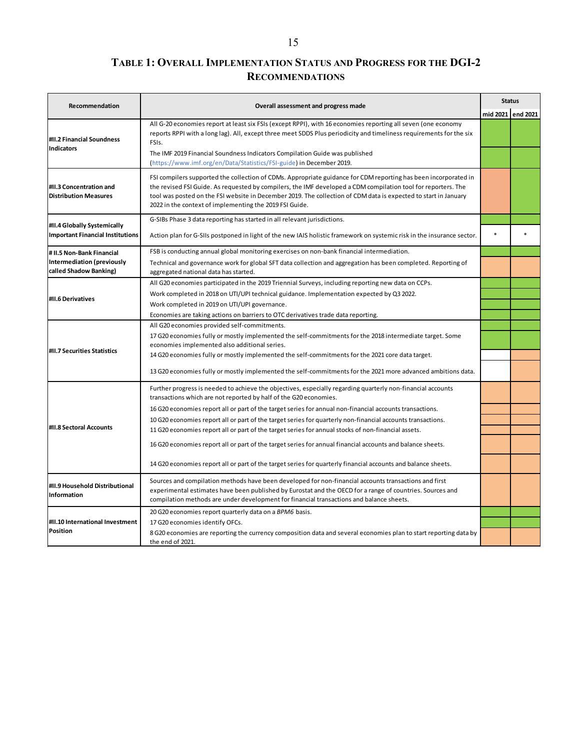# **TABLE 1: OVERALL IMPLEMENTATION STATUS AND PROGRESS FOR THE DGI-2 RECOMMENDATIONS**

| Recommendation                                              | Overall assessment and progress made                                                                                                                                                                                                                                                                                                                                                                           |          | <b>Status</b> |
|-------------------------------------------------------------|----------------------------------------------------------------------------------------------------------------------------------------------------------------------------------------------------------------------------------------------------------------------------------------------------------------------------------------------------------------------------------------------------------------|----------|---------------|
|                                                             |                                                                                                                                                                                                                                                                                                                                                                                                                | mid 2021 | end 2021      |
| #II.2 Financial Soundness<br><b>Indicators</b>              | All G-20 economies report at least six FSIs (except RPPI), with 16 economies reporting all seven (one economy<br>reports RPPI with a long lag). All, except three meet SDDS Plus periodicity and timeliness requirements for the six<br>FSIs.                                                                                                                                                                  |          |               |
|                                                             | The IMF 2019 Financial Soundness Indicators Compilation Guide was published<br>(https://www.imf.org/en/Data/Statistics/FSI-guide) in December 2019.                                                                                                                                                                                                                                                            |          |               |
| #II.3 Concentration and<br><b>Distribution Measures</b>     | FSI compilers supported the collection of CDMs. Appropriate guidance for CDM reporting has been incorporated in<br>the revised FSI Guide. As requested by compilers, the IMF developed a CDM compilation tool for reporters. The<br>tool was posted on the FSI website in December 2019. The collection of CDM data is expected to start in January<br>2022 in the context of implementing the 2019 FSI Guide. |          |               |
| #II.4 Globally Systemically                                 | G-SIBs Phase 3 data reporting has started in all relevant jurisdictions.                                                                                                                                                                                                                                                                                                                                       |          |               |
| <b>Important Financial Institutions</b>                     | Action plan for G-SIIs postponed in light of the new IAIS holistic framework on systemic risk in the insurance sector.                                                                                                                                                                                                                                                                                         |          |               |
| # II.5 Non-Bank Financial                                   | FSB is conducting annual global monitoring exercises on non-bank financial intermediation.                                                                                                                                                                                                                                                                                                                     |          |               |
| <b>Intermediation (previously</b><br>called Shadow Banking) | Technical and governance work for global SFT data collection and aggregation has been completed. Reporting of<br>aggregated national data has started.                                                                                                                                                                                                                                                         |          |               |
|                                                             | All G20 economies participated in the 2019 Triennial Surveys, including reporting new data on CCPs.                                                                                                                                                                                                                                                                                                            |          |               |
| #II.6 Derivatives                                           | Work completed in 2018 on UTI/UPI technical guidance. Implementation expected by Q3 2022.                                                                                                                                                                                                                                                                                                                      |          |               |
|                                                             | Work completed in 2019 on UTI/UPI governance.                                                                                                                                                                                                                                                                                                                                                                  |          |               |
|                                                             | Economies are taking actions on barriers to OTC derivatives trade data reporting.                                                                                                                                                                                                                                                                                                                              |          |               |
|                                                             | All G20 economies provided self-commitments.<br>17 G20 economies fully or mostly implemented the self-commitments for the 2018 intermediate target. Some                                                                                                                                                                                                                                                       |          |               |
|                                                             | economies implemented also additional series.                                                                                                                                                                                                                                                                                                                                                                  |          |               |
| #II.7 Securities Statistics                                 | 14 G20 economies fully or mostly implemented the self-commitments for the 2021 core data target.                                                                                                                                                                                                                                                                                                               |          |               |
|                                                             | 13 G20 economies fully or mostly implemented the self-commitments for the 2021 more advanced ambitions data.                                                                                                                                                                                                                                                                                                   |          |               |
|                                                             | Further progress is needed to achieve the objectives, especially regarding quarterly non-financial accounts<br>transactions which are not reported by half of the G20 economies.                                                                                                                                                                                                                               |          |               |
|                                                             | 16 G20 economies report all or part of the target series for annual non-financial accounts transactions.                                                                                                                                                                                                                                                                                                       |          |               |
|                                                             | 10 G20 economies report all or part of the target series for quarterly non-financial accounts transactions.                                                                                                                                                                                                                                                                                                    |          |               |
| #II.8 Sectoral Accounts                                     | 11 G20 economies report all or part of the target series for annual stocks of non-financial assets.                                                                                                                                                                                                                                                                                                            |          |               |
|                                                             | 16 G20 economies report all or part of the target series for annual financial accounts and balance sheets.                                                                                                                                                                                                                                                                                                     |          |               |
|                                                             | 14 G20 economies report all or part of the target series for quarterly financial accounts and balance sheets.                                                                                                                                                                                                                                                                                                  |          |               |
| #II.9 Household Distributional<br>Information               | Sources and compilation methods have been developed for non-financial accounts transactions and first<br>experimental estimates have been published by Eurostat and the OECD for a range of countries. Sources and<br>compilation methods are under development for financial transactions and balance sheets.                                                                                                 |          |               |
|                                                             | 20 G20 economies report quarterly data on a BPM6 basis.                                                                                                                                                                                                                                                                                                                                                        |          |               |
| #II.10 International Investment                             | 17 G20 economies identify OFCs.                                                                                                                                                                                                                                                                                                                                                                                |          |               |
| Position                                                    | 8 G20 economies are reporting the currency composition data and several economies plan to start reporting data by<br>the end of 2021.                                                                                                                                                                                                                                                                          |          |               |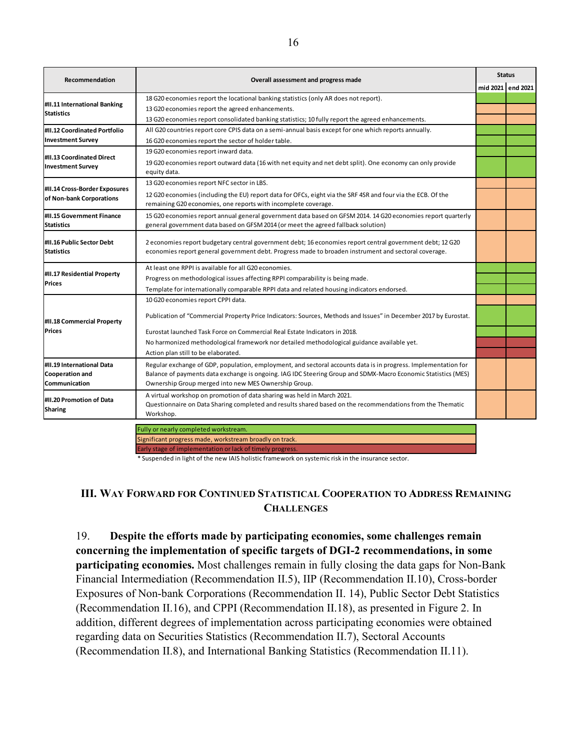| Recommendation                                            | Overall assessment and progress made                                                                                                                                                                                            |          | <b>Status</b> |
|-----------------------------------------------------------|---------------------------------------------------------------------------------------------------------------------------------------------------------------------------------------------------------------------------------|----------|---------------|
|                                                           |                                                                                                                                                                                                                                 | mid 2021 | end 2021      |
|                                                           | 18 G20 economies report the locational banking statistics (only AR does not report).                                                                                                                                            |          |               |
| #II.11 International Banking<br><b>Statistics</b>         | 13 G20 economies report the agreed enhancements.                                                                                                                                                                                |          |               |
|                                                           | 13 G20 economies report consolidated banking statistics; 10 fully report the agreed enhancements.                                                                                                                               |          |               |
| #II.12 Coordinated Portfolio                              | All G20 countries report core CPIS data on a semi-annual basis except for one which reports annually.                                                                                                                           |          |               |
| <b>Investment Survey</b>                                  | 16 G20 economies report the sector of holder table.                                                                                                                                                                             |          |               |
|                                                           | 19 G20 economies report inward data.                                                                                                                                                                                            |          |               |
| #II.13 Coordinated Direct<br><b>Investment Survey</b>     | 19 G20 economies report outward data (16 with net equity and net debt split). One economy can only provide<br>equity data.                                                                                                      |          |               |
|                                                           | 13 G20 economies report NFC sector in LBS.                                                                                                                                                                                      |          |               |
| #II.14 Cross-Border Exposures<br>of Non-bank Corporations | 12 G20 economies (including the EU) report data for OFCs, eight via the SRF 4SR and four via the ECB. Of the<br>remaining G20 economies, one reports with incomplete coverage.                                                  |          |               |
| #II.15 Government Finance<br><b>Statistics</b>            | 15 G20 economies report annual general government data based on GFSM 2014. 14 G20 economies report quarterly<br>general government data based on GFSM 2014 (or meet the agreed fallback solution)                               |          |               |
| #II.16 Public Sector Debt<br><b>Statistics</b>            | 2 economies report budgetary central government debt; 16 economies report central government debt; 12 G20<br>economies report general government debt. Progress made to broaden instrument and sectoral coverage.               |          |               |
|                                                           | At least one RPPL is available for all G20 economies.                                                                                                                                                                           |          |               |
| #II.17 Residential Property<br><b>Prices</b>              | Progress on methodological issues affecting RPPI comparability is being made.                                                                                                                                                   |          |               |
|                                                           | Template for internationally comparable RPPI data and related housing indicators endorsed.                                                                                                                                      |          |               |
|                                                           | 10 G20 economies report CPPI data.                                                                                                                                                                                              |          |               |
| #II.18 Commercial Property                                | Publication of "Commercial Property Price Indicators: Sources, Methods and Issues" in December 2017 by Eurostat.                                                                                                                |          |               |
| <b>Prices</b>                                             | Eurostat launched Task Force on Commercial Real Estate Indicators in 2018.                                                                                                                                                      |          |               |
|                                                           | No harmonized methodological framework nor detailed methodological guidance available yet.                                                                                                                                      |          |               |
|                                                           | Action plan still to be elaborated.                                                                                                                                                                                             |          |               |
| #II.19 International Data<br><b>Cooperation and</b>       | Regular exchange of GDP, population, employment, and sectoral accounts data is in progress. Implementation for<br>Balance of payments data exchange is ongoing. IAG IDC Steering Group and SDMX-Macro Economic Statistics (MES) |          |               |
| Communication                                             | Ownership Group merged into new MES Ownership Group.                                                                                                                                                                            |          |               |
| #II.20 Promotion of Data<br><b>Sharing</b>                | A virtual workshop on promotion of data sharing was held in March 2021.<br>Questionnaire on Data Sharing completed and results shared based on the recommendations from the Thematic<br>Workshop.                               |          |               |
|                                                           | Fully or nearly completed workstream.                                                                                                                                                                                           |          |               |

s made, workstream broadly on track Early stage of implementation or lack of timely progress.

\* Suspended in light of the new IAIS holistic framework on systemic risk in the insurance sector.

## **III. WAY FORWARD FOR CONTINUED STATISTICAL COOPERATION TO ADDRESS REMAINING CHALLENGES**

19. **Despite the efforts made by participating economies, some challenges remain concerning the implementation of specific targets of DGI-2 recommendations, in some participating economies.** Most challenges remain in fully closing the data gaps for Non-Bank Financial Intermediation (Recommendation II.5), IIP (Recommendation II.10), Cross-border Exposures of Non-bank Corporations (Recommendation II. 14), Public Sector Debt Statistics (Recommendation II.16), and CPPI (Recommendation II.18), as presented in Figure 2. In addition, different degrees of implementation across participating economies were obtained regarding data on Securities Statistics (Recommendation II.7), Sectoral Accounts (Recommendation II.8), and International Banking Statistics (Recommendation II.11).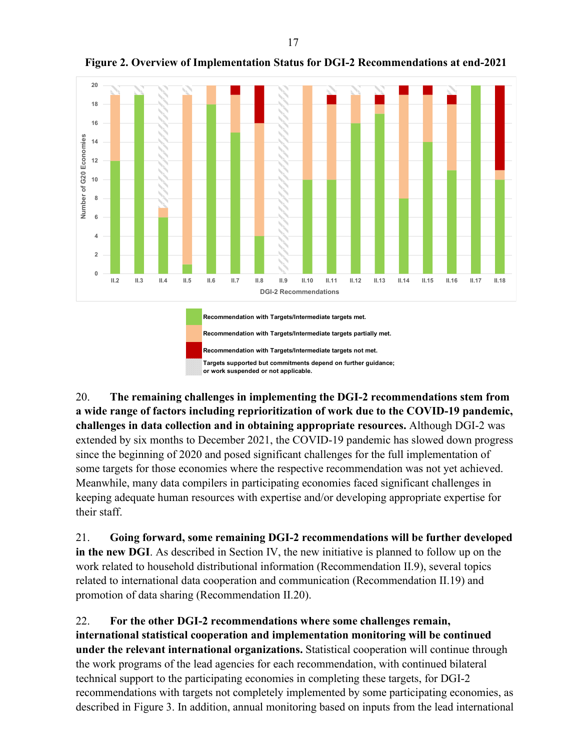

**Figure 2. Overview of Implementation Status for DGI-2 Recommendations at end-2021**

20. **The remaining challenges in implementing the DGI-2 recommendations stem from a wide range of factors including reprioritization of work due to the COVID-19 pandemic, challenges in data collection and in obtaining appropriate resources.** Although DGI-2 was extended by six months to December 2021, the COVID-19 pandemic has slowed down progress since the beginning of 2020 and posed significant challenges for the full implementation of some targets for those economies where the respective recommendation was not yet achieved. Meanwhile, many data compilers in participating economies faced significant challenges in keeping adequate human resources with expertise and/or developing appropriate expertise for their staff.

21. **Going forward, some remaining DGI-2 recommendations will be further developed in the new DGI**. As described in Section IV, the new initiative is planned to follow up on the work related to household distributional information (Recommendation II.9), several topics related to international data cooperation and communication (Recommendation II.19) and promotion of data sharing (Recommendation II.20).

22. **For the other DGI-2 recommendations where some challenges remain, international statistical cooperation and implementation monitoring will be continued under the relevant international organizations.** Statistical cooperation will continue through the work programs of the lead agencies for each recommendation, with continued bilateral technical support to the participating economies in completing these targets, for DGI-2 recommendations with targets not completely implemented by some participating economies, as described in Figure 3. In addition, annual monitoring based on inputs from the lead international

17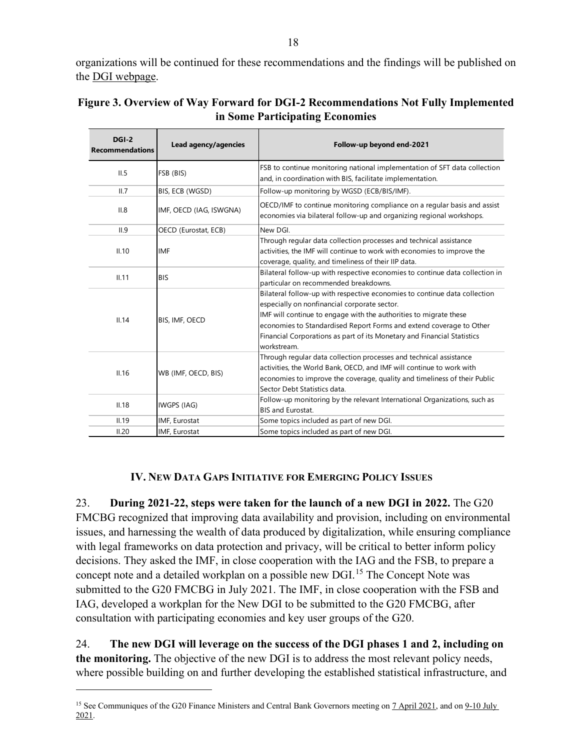organizations will be continued for these recommendations and the findings will be published on the [DGI webpage.](https://www.imf.org/en/News/Seminars/Conferences/g20-data-gaps-initiative)

| $DGI-2$<br><b>Recommendations</b> | Lead agency/agencies    | Follow-up beyond end-2021                                                                                                                                                                                                                                                                                                                                       |
|-----------------------------------|-------------------------|-----------------------------------------------------------------------------------------------------------------------------------------------------------------------------------------------------------------------------------------------------------------------------------------------------------------------------------------------------------------|
| II.5                              | FSB (BIS)               | FSB to continue monitoring national implementation of SFT data collection<br>and, in coordination with BIS, facilitate implementation.                                                                                                                                                                                                                          |
| II.7                              | BIS, ECB (WGSD)         | Follow-up monitoring by WGSD (ECB/BIS/IMF).                                                                                                                                                                                                                                                                                                                     |
| II.8                              | IMF, OECD (IAG, ISWGNA) | OECD/IMF to continue monitoring compliance on a regular basis and assist<br>economies via bilateral follow-up and organizing regional workshops.                                                                                                                                                                                                                |
| II.9                              | OECD (Eurostat, ECB)    | New DGL                                                                                                                                                                                                                                                                                                                                                         |
| II.10                             | <b>IMF</b>              | Through regular data collection processes and technical assistance<br>activities, the IMF will continue to work with economies to improve the<br>coverage, quality, and timeliness of their IIP data.                                                                                                                                                           |
| II.11                             | <b>BIS</b>              | Bilateral follow-up with respective economies to continue data collection in<br>particular on recommended breakdowns.                                                                                                                                                                                                                                           |
| II.14                             | BIS, IMF, OECD          | Bilateral follow-up with respective economies to continue data collection<br>especially on nonfinancial corporate sector.<br>IMF will continue to engage with the authorities to migrate these<br>economies to Standardised Report Forms and extend coverage to Other<br>Financial Corporations as part of its Monetary and Financial Statistics<br>workstream. |
| II.16                             | WB (IMF, OECD, BIS)     | Through regular data collection processes and technical assistance<br>activities, the World Bank, OECD, and IMF will continue to work with<br>economies to improve the coverage, quality and timeliness of their Public<br>Sector Debt Statistics data.                                                                                                         |
| II.18                             | IWGPS (IAG)             | Follow-up monitoring by the relevant International Organizations, such as<br><b>BIS and Eurostat.</b>                                                                                                                                                                                                                                                           |
| II.19                             | IMF, Eurostat           | Some topics included as part of new DGI.                                                                                                                                                                                                                                                                                                                        |
| II.20                             | IMF, Eurostat           | Some topics included as part of new DGI.                                                                                                                                                                                                                                                                                                                        |

| Figure 3. Overview of Way Forward for DGI-2 Recommendations Not Fully Implemented |
|-----------------------------------------------------------------------------------|
| in Some Participating Economies                                                   |

### **IV. NEW DATA GAPS INITIATIVE FOR EMERGING POLICY ISSUES**

23. **During 2021-22, steps were taken for the launch of a new DGI in 2022.** The G20 FMCBG recognized that improving data availability and provision, including on environmental issues, and harnessing the wealth of data produced by digitalization, while ensuring compliance with legal frameworks on data protection and privacy, will be critical to better inform policy decisions. They asked the IMF, in close cooperation with the IAG and the FSB, to prepare a concept note and a detailed workplan on a possible new DGI.<sup>[15](#page-17-0)</sup> The Concept Note was submitted to the G20 FMCBG in July 2021. The IMF, in close cooperation with the FSB and IAG, developed a workplan for the New DGI to be submitted to the G20 FMCBG, after consultation with participating economies and key user groups of the G20.

24. **The new DGI will leverage on the success of the DGI phases 1 and 2, including on the monitoring.** The objective of the new DGI is to address the most relevant policy needs, where possible building on and further developing the established statistical infrastructure, and

<span id="page-17-0"></span><sup>&</sup>lt;sup>15</sup> See Communiques of the G20 Finance Ministers and Central Bank Governors meeting on [7 April 2021,](https://www.mof.go.jp/english/policy/international_policy/convention/g20/g20_210407.pdf) and on 9-10 July [2021.](https://www.bancaditalia.it/media/notizie/2021/terza-riunione/communique1.pdf)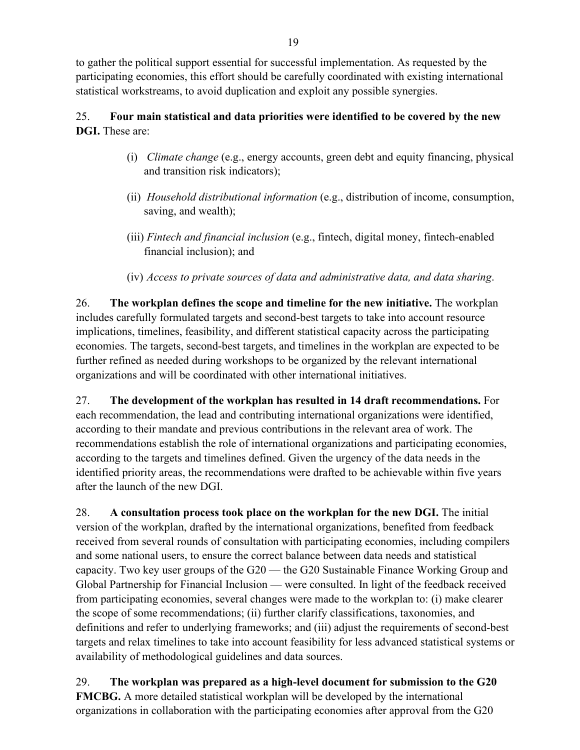to gather the political support essential for successful implementation. As requested by the participating economies, this effort should be carefully coordinated with existing international statistical workstreams, to avoid duplication and exploit any possible synergies.

# 25. **Four main statistical and data priorities were identified to be covered by the new DGI.** These are:

- (i) *Climate change* (e.g., energy accounts, green debt and equity financing, physical and transition risk indicators);
- (ii) *Household distributional information* (e.g., distribution of income, consumption, saving, and wealth);
- (iii) *Fintech and financial inclusion* (e.g., fintech, digital money, fintech-enabled financial inclusion); and
- (iv) *Access to private sources of data and administrative data, and data sharing*.

26. **The workplan defines the scope and timeline for the new initiative.** The workplan includes carefully formulated targets and second-best targets to take into account resource implications, timelines, feasibility, and different statistical capacity across the participating economies. The targets, second-best targets, and timelines in the workplan are expected to be further refined as needed during workshops to be organized by the relevant international organizations and will be coordinated with other international initiatives.

27. **The development of the workplan has resulted in 14 draft recommendations.** For each recommendation, the lead and contributing international organizations were identified, according to their mandate and previous contributions in the relevant area of work. The recommendations establish the role of international organizations and participating economies, according to the targets and timelines defined. Given the urgency of the data needs in the identified priority areas, the recommendations were drafted to be achievable within five years after the launch of the new DGI.

28. **A consultation process took place on the workplan for the new DGI.** The initial version of the workplan, drafted by the international organizations, benefited from feedback received from several rounds of consultation with participating economies, including compilers and some national users, to ensure the correct balance between data needs and statistical capacity. Two key user groups of the G20 — the G20 Sustainable Finance Working Group and Global Partnership for Financial Inclusion — were consulted. In light of the feedback received from participating economies, several changes were made to the workplan to: (i) make clearer the scope of some recommendations; (ii) further clarify classifications, taxonomies, and definitions and refer to underlying frameworks; and (iii) adjust the requirements of second-best targets and relax timelines to take into account feasibility for less advanced statistical systems or availability of methodological guidelines and data sources.

29. **The workplan was prepared as a high-level document for submission to the G20 FMCBG.** A more detailed statistical workplan will be developed by the international organizations in collaboration with the participating economies after approval from the G20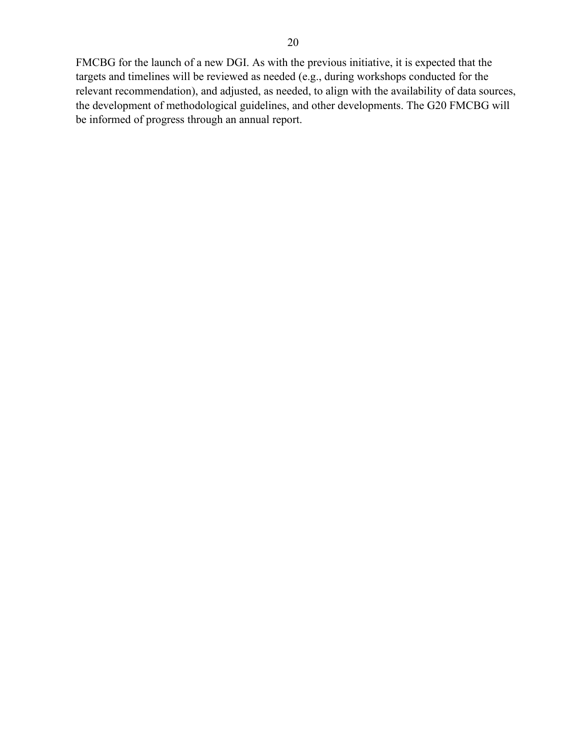FMCBG for the launch of a new DGI. As with the previous initiative, it is expected that the targets and timelines will be reviewed as needed (e.g., during workshops conducted for the relevant recommendation), and adjusted, as needed, to align with the availability of data sources, the development of methodological guidelines, and other developments. The G20 FMCBG will be informed of progress through an annual report.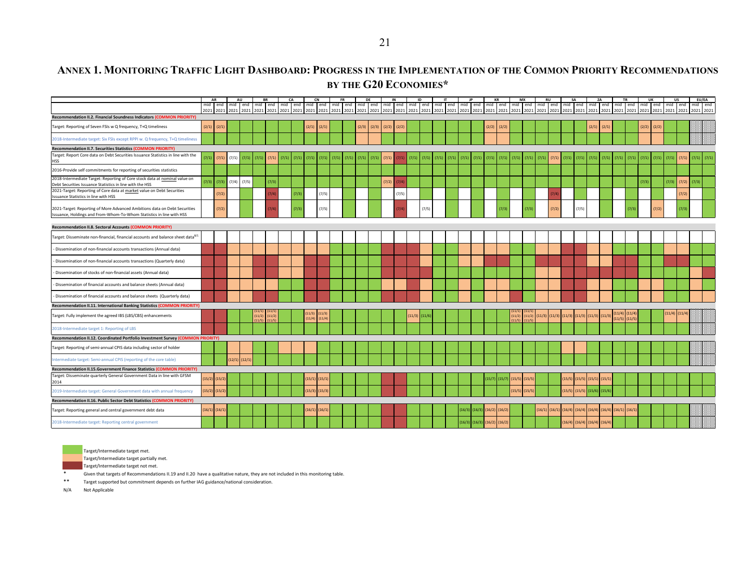# **ANNEX 1. MONITORING TRAFFIC LIGHT DASHBOARD: PROGRESS IN THE IMPLEMENTATION OF THE COMMON PRIORITY RECOMMENDATIONS BY THE G20 ECONOMIES\***

|                                                                                                                                                   | AR                |                 |       | AU                |                | <b>BR</b> |       | CA    |       | CN                                     | FR                                                                                                                                                                                            |       | DE    |       | IN              |       | ID                |       |       | IT    |        |        |                                     | KR                |        | <b>MX</b> |       | <b>RU</b>         |        | SA                                  |        | ZA     |                                     | <b>TR</b>                              |       | UK    |                                 | <b>US</b>         | <b>EU/EA</b> |       |
|---------------------------------------------------------------------------------------------------------------------------------------------------|-------------------|-----------------|-------|-------------------|----------------|-----------|-------|-------|-------|----------------------------------------|-----------------------------------------------------------------------------------------------------------------------------------------------------------------------------------------------|-------|-------|-------|-----------------|-------|-------------------|-------|-------|-------|--------|--------|-------------------------------------|-------------------|--------|-----------|-------|-------------------|--------|-------------------------------------|--------|--------|-------------------------------------|----------------------------------------|-------|-------|---------------------------------|-------------------|--------------|-------|
|                                                                                                                                                   |                   |                 |       |                   |                |           |       |       |       |                                        | mid   end   mid   end   mid   end   mid   end   mid   end   mid   end   mid   end   mid   end   mid   end   mid   end   mid   end   mid   end   mid   end   mid   end   mid   end   mid   end |       |       |       |                 |       |                   |       |       |       |        |        |                                     |                   |        |           |       |                   |        |                                     |        |        |                                     |                                        |       |       | mid end mid end mid end mid end |                   | mid end      |       |
|                                                                                                                                                   |                   |                 |       |                   |                |           |       |       |       |                                        |                                                                                                                                                                                               |       |       |       |                 |       |                   |       |       |       |        |        |                                     |                   |        |           |       |                   |        |                                     |        |        |                                     |                                        |       |       |                                 |                   |              |       |
| Recommendation II.2. Financial Soundness Indicators (COMMON PRIORITY)                                                                             |                   |                 |       |                   |                |           |       |       |       |                                        |                                                                                                                                                                                               |       |       |       |                 |       |                   |       |       |       |        |        |                                     |                   |        |           |       |                   |        |                                     |        |        |                                     |                                        |       |       |                                 |                   |              |       |
| Target: Reporting of Seven FSIs w Q frequency, T+Q timeliness                                                                                     | (2/1)             | (2/1)           |       |                   |                |           |       |       |       | $(2/1)$ $(2/1)$                        |                                                                                                                                                                                               |       | (2/3) | (2/3) | $(2/2)$ $(2/2)$ |       |                   |       |       |       |        |        | (2/2)                               | (2/2)             |        |           |       |                   |        |                                     | (2/1)  | (2/1)  |                                     |                                        | (2/2) | (2/2) |                                 |                   |              |       |
| 2018-Intermediate target: Six FSIs except RPPI w. Q frequency, T+Q timeliness                                                                     |                   |                 |       |                   |                |           |       |       |       |                                        |                                                                                                                                                                                               |       |       |       |                 |       |                   |       |       |       |        |        |                                     |                   |        |           |       |                   |        |                                     |        |        |                                     |                                        |       |       |                                 |                   |              |       |
| Recommendation II.7. Securities Statistics (COMMON PRIORITY)                                                                                      |                   |                 |       |                   |                |           |       |       |       |                                        |                                                                                                                                                                                               |       |       |       |                 |       |                   |       |       |       |        |        |                                     |                   |        |           |       |                   |        |                                     |        |        |                                     |                                        |       |       |                                 |                   |              |       |
| Target: Report Core data on Debt Securities Issuance Statistics in line with the<br><b>HSS</b>                                                    | (7/1)             | (7/1)           | (7/1) | (7/1)             | (7/1)          | (7/1)     | (7/1) | (7/1) | (7/1) | (7/1)                                  | (7/1)                                                                                                                                                                                         | (7/1) | (7/1) | (7/1) | (7/1)           | 7/1)  | (7/1)             | (7/1) | (7/1) | (7/1) | (7/1)  | (7/1)  | (7/1)                               | (7/1)             | (7/1)  | (7/1)     | (7/1) | (7/1)             | (7/1)  | (7/1)                               | (7/1)  | (7/1)  | (7/1)                               | (7/1)                                  | (7/1) | (7/1) | (7/1)                           | (7/1)             | (7/1)        | (7/1) |
| 2016-Provide self commitments for reporting of securities statistics                                                                              |                   |                 |       |                   |                |           |       |       |       |                                        |                                                                                                                                                                                               |       |       |       |                 |       |                   |       |       |       |        |        |                                     |                   |        |           |       |                   |        |                                     |        |        |                                     |                                        |       |       |                                 |                   |              |       |
| 2018-Intermediate Target: Reporting of Core stock data at nominal value on<br>Debt Securities Issuance Statistics in line with the HSS            |                   | $(7/3)$ $(7/3)$ | (7/4) | (7/5)             |                | (7/3)     |       |       |       |                                        |                                                                                                                                                                                               |       |       |       | (7/2)           | (7/4) |                   |       |       |       |        |        |                                     |                   |        |           |       |                   |        |                                     |        |        |                                     |                                        | (7/3) |       | (7/3)                           | $(7/2)$ $(7/3)$   |              |       |
| 2021-Target: Reporting of Core data at market value on Debt Securities<br>Issuance Statistics in line with HSS                                    |                   | (7/2)           |       |                   |                | 7/4       |       | (7/3) |       | (7/5)                                  |                                                                                                                                                                                               |       |       |       |                 | (7/5) |                   |       |       |       |        |        |                                     |                   |        |           |       |                   |        |                                     |        |        |                                     |                                        |       |       |                                 | (7/2)             |              |       |
| 2021-Target: Reporting of More Advanced Ambitions data on Debt Securities<br>Issuance, Holdings and From-Whom-To-Whom Statistics in line with HSS |                   | (7/2)           |       |                   |                | 7/4)      |       | (7/3) |       | (7/5)                                  |                                                                                                                                                                                               |       |       |       |                 |       |                   | (7/5) |       |       |        |        |                                     | (7/3)             |        | (7/3)     |       | (7/2)             |        | (7/5)                               |        |        |                                     | (7/3)                                  |       | (7/2) |                                 | (7/3)             |              |       |
| Recommendation II.8. Sectoral Accounts (COMMON PRIORITY)                                                                                          |                   |                 |       |                   |                |           |       |       |       |                                        |                                                                                                                                                                                               |       |       |       |                 |       |                   |       |       |       |        |        |                                     |                   |        |           |       |                   |        |                                     |        |        |                                     |                                        |       |       |                                 |                   |              |       |
| Target: Disseminate non-financial, financial accounts and balance sheet data <sup>8/1</sup>                                                       |                   |                 |       |                   |                |           |       |       |       |                                        |                                                                                                                                                                                               |       |       |       |                 |       |                   |       |       |       |        |        |                                     |                   |        |           |       |                   |        |                                     |        |        |                                     |                                        |       |       |                                 |                   |              |       |
| Dissemination of non-financial accounts transactions (Annual data)                                                                                |                   |                 |       |                   |                |           |       |       |       |                                        |                                                                                                                                                                                               |       |       |       |                 |       |                   |       |       |       |        |        |                                     |                   |        |           |       |                   |        |                                     |        |        |                                     |                                        |       |       |                                 |                   |              |       |
| Dissemination of non-financial accounts transactions (Quarterly data)                                                                             |                   |                 |       |                   |                |           |       |       |       |                                        |                                                                                                                                                                                               |       |       |       |                 |       |                   |       |       |       |        |        |                                     |                   |        |           |       |                   |        |                                     |        |        |                                     |                                        |       |       |                                 |                   |              |       |
| Dissemination of stocks of non-financial assets (Annual data)                                                                                     |                   |                 |       |                   |                |           |       |       |       |                                        |                                                                                                                                                                                               |       |       |       |                 |       |                   |       |       |       |        |        |                                     |                   |        |           |       |                   |        |                                     |        |        |                                     |                                        |       |       |                                 |                   |              |       |
| Dissemination of financial accounts and balance sheets (Annual data)                                                                              |                   |                 |       |                   |                |           |       |       |       |                                        |                                                                                                                                                                                               |       |       |       |                 |       |                   |       |       |       |        |        |                                     |                   |        |           |       |                   |        |                                     |        |        |                                     |                                        |       |       |                                 |                   |              |       |
| Dissemination of financial accounts and balance sheets (Quarterly data)                                                                           |                   |                 |       |                   |                |           |       |       |       |                                        |                                                                                                                                                                                               |       |       |       |                 |       |                   |       |       |       |        |        |                                     |                   |        |           |       |                   |        |                                     |        |        |                                     |                                        |       |       |                                 |                   |              |       |
| Recommendation II.11. International Banking Statistics (COMMON PRIORITY)                                                                          |                   |                 |       |                   |                |           |       |       |       |                                        |                                                                                                                                                                                               |       |       |       |                 |       |                   |       |       |       |        |        |                                     |                   |        |           |       |                   |        |                                     |        |        |                                     |                                        |       |       |                                 |                   |              |       |
| Target: Fully implement the agreed IBS (LBS/CBS) enhancements                                                                                     |                   |                 |       |                   | 11/1<br>(11/2) | (11/2)    |       |       |       | $(11/3)$ $(11/3)$<br>$(11/4)$ $(11/4)$ |                                                                                                                                                                                               |       |       |       |                 |       | $(11/3)$ $(11/6)$ |       |       |       |        |        |                                     |                   | (11/2) | (11/2)    |       | $(11/3)$ $(11/3)$ | (11/3) | (11/3)                              | (11/3) | (11/3) |                                     | $(11/4)$ $(11/4)$<br>$(11/5)$ $(11/5)$ |       |       |                                 | $(11/4)$ $(11/4)$ |              |       |
| 2018-Intermediate target 1: Reporting of LBS                                                                                                      |                   |                 |       |                   |                |           |       |       |       |                                        |                                                                                                                                                                                               |       |       |       |                 |       |                   |       |       |       |        |        |                                     |                   |        |           |       |                   |        |                                     |        |        |                                     |                                        |       |       |                                 |                   |              |       |
| Recommendation II.12. Coordinated Portfolio Investment Survey (COMMON PRIORITY)                                                                   |                   |                 |       |                   |                |           |       |       |       |                                        |                                                                                                                                                                                               |       |       |       |                 |       |                   |       |       |       |        |        |                                     |                   |        |           |       |                   |        |                                     |        |        |                                     |                                        |       |       |                                 |                   |              |       |
| Target: Reporting of semi-annual CPIS data including sector of holder                                                                             |                   |                 |       |                   |                |           |       |       |       |                                        |                                                                                                                                                                                               |       |       |       |                 |       |                   |       |       |       |        |        |                                     |                   |        |           |       |                   |        |                                     |        |        |                                     |                                        |       |       |                                 |                   |              |       |
| Intermediate target: Semi-annual CPIS (reporting of the core table)                                                                               |                   |                 |       | $(12/1)$ $(12/1)$ |                |           |       |       |       |                                        |                                                                                                                                                                                               |       |       |       |                 |       |                   |       |       |       |        |        |                                     |                   |        |           |       |                   |        |                                     |        |        |                                     |                                        |       |       |                                 |                   |              |       |
| Recommendation II.15.Government Finance Statistics (COMMON PRIORITY)                                                                              |                   |                 |       |                   |                |           |       |       |       |                                        |                                                                                                                                                                                               |       |       |       |                 |       |                   |       |       |       |        |        |                                     |                   |        |           |       |                   |        |                                     |        |        |                                     |                                        |       |       |                                 |                   |              |       |
| Target: Disseminate quarterly General Government Data in line with GFSM                                                                           | $(15/2)$ $(15/2)$ |                 |       |                   |                |           |       |       |       | $15/1$ $(15/1)$                        |                                                                                                                                                                                               |       |       |       |                 |       |                   |       |       |       |        |        |                                     | $(15/7)$ $(15/7)$ | (15/5) | (15/5)    |       |                   |        | $(15/5)$ $(15/5)$ $(15/1)$ $(15/1)$ |        |        |                                     |                                        |       |       |                                 |                   |              |       |
| 2014                                                                                                                                              |                   |                 |       |                   |                |           |       |       |       |                                        |                                                                                                                                                                                               |       |       |       |                 |       |                   |       |       |       |        |        |                                     |                   |        |           |       |                   |        |                                     |        |        |                                     |                                        |       |       |                                 |                   |              |       |
| 2019-Intermediate target: General Government data with annual frequency                                                                           | $(15/2)$ $(15/2)$ |                 |       |                   |                |           |       |       |       | $15/3$ (15/3)                          |                                                                                                                                                                                               |       |       |       |                 |       |                   |       |       |       |        |        |                                     |                   | 15/5   | (15/5)    |       |                   | (15/5) | (15/5)                              | (15/6) | (15/6) |                                     |                                        |       |       |                                 |                   |              |       |
| Recommendation II.16. Public Sector Debt Statistics (COMMON PRIORITY)                                                                             |                   |                 |       |                   |                |           |       |       |       |                                        |                                                                                                                                                                                               |       |       |       |                 |       |                   |       |       |       |        |        |                                     |                   |        |           |       |                   |        |                                     |        |        |                                     |                                        |       |       |                                 |                   |              |       |
| Target: Reporting general and central government debt data                                                                                        | $(16/1)$ $(16/1)$ |                 |       |                   |                |           |       |       |       | $(16/1)$ $(16/1)$                      |                                                                                                                                                                                               |       |       |       |                 |       |                   |       |       |       | (16/3) | (16/3) |                                     | $(16/2)$ $(16/2)$ |        |           |       | $(16/1)$ $(16/1)$ | (16/4) | (16/4)                              |        |        | $(16/4)$ $(16/4)$ $(16/1)$ $(16/1)$ |                                        |       |       |                                 |                   |              |       |
| 2018-Intermediate target: Reporting central government                                                                                            |                   |                 |       |                   |                |           |       |       |       |                                        |                                                                                                                                                                                               |       |       |       |                 |       |                   |       |       |       |        |        | $(16/3)$ $(16/3)$ $(16/2)$ $(16/2)$ |                   |        |           |       |                   |        | $(16/4)$ $(16/4)$ $(16/4)$ $(16/4)$ |        |        |                                     |                                        |       |       |                                 |                   |              |       |



Target/Intermediate target met.

Target/Intermediate target partially met.

Target/Intermediate target not met.

\* Given that targets of Recommendations II.19 and II.20 have a qualitative nature, they are not included in this monitoring table.

Target supported but commitment depends on further IAG guidance/national consideration.

N/A Not Applicable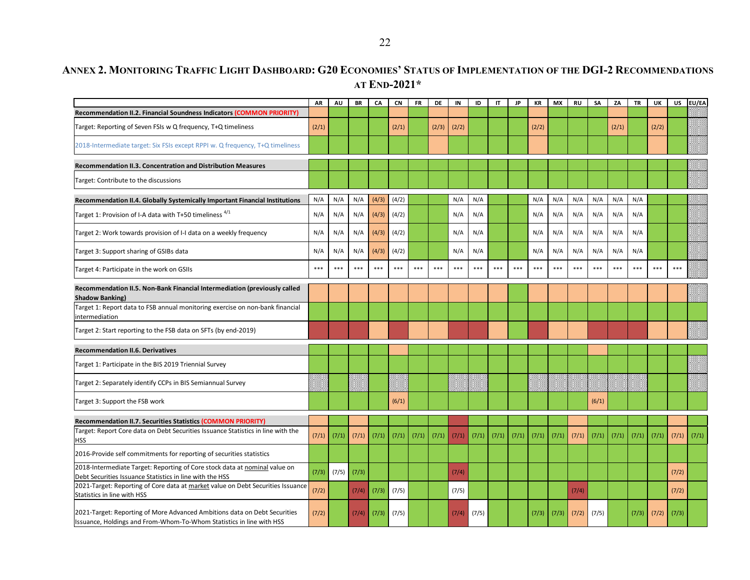## **ANNEX 2. MONITORING TRAFFIC LIGHT DASHBOARD: G20 ECONOMIES' STATUS OF IMPLEMENTATION OF THE DGI-2 RECOMMENDATIONS AT END-2021\***

|                                                                                                                                                   | <b>AR</b> | AU    | BR    | CA      | <b>CN</b> | <b>FR</b> | DE    | IN    | ID    | $\mathsf{I}$ | <b>JP</b> | KR    | <b>MX</b> | <b>RU</b> | SA    | ZA    | TR    | UK    | US      | EU/EA |
|---------------------------------------------------------------------------------------------------------------------------------------------------|-----------|-------|-------|---------|-----------|-----------|-------|-------|-------|--------------|-----------|-------|-----------|-----------|-------|-------|-------|-------|---------|-------|
| Recommendation II.2. Financial Soundness Indicators (COMMON PRIORITY)                                                                             |           |       |       |         |           |           |       |       |       |              |           |       |           |           |       |       |       |       |         |       |
| Target: Reporting of Seven FSIs w Q frequency, T+Q timeliness                                                                                     | (2/1)     |       |       |         | (2/1)     |           | (2/3) | (2/2) |       |              |           | (2/2) |           |           |       | (2/1) |       | (2/2) |         |       |
| 2018-Intermediate target: Six FSIs except RPPI w. Q frequency, T+Q timeliness                                                                     |           |       |       |         |           |           |       |       |       |              |           |       |           |           |       |       |       |       |         |       |
| Recommendation II.3. Concentration and Distribution Measures                                                                                      |           |       |       |         |           |           |       |       |       |              |           |       |           |           |       |       |       |       |         |       |
| Target: Contribute to the discussions                                                                                                             |           |       |       |         |           |           |       |       |       |              |           |       |           |           |       |       |       |       |         |       |
| Recommendation II.4. Globally Systemically Important Financial Institutions                                                                       | N/A       | N/A   | N/A   | (4/3)   | (4/2)     |           |       | N/A   | N/A   |              |           | N/A   | N/A       | N/A       | N/A   | N/A   | N/A   |       |         |       |
| Target 1: Provision of I-A data with T+50 timeliness $4/1$                                                                                        | N/A       | N/A   | N/A   | (4/3)   | (4/2)     |           |       | N/A   | N/A   |              |           | N/A   | N/A       | N/A       | N/A   | N/A   | N/A   |       |         |       |
| Target 2: Work towards provision of I-I data on a weekly frequency                                                                                | N/A       | N/A   | N/A   | (4/3)   | (4/2)     |           |       | N/A   | N/A   |              |           | N/A   | N/A       | N/A       | N/A   | N/A   | N/A   |       |         |       |
| Target 3: Support sharing of GSIBs data                                                                                                           | N/A       | N/A   | N/A   | (4/3)   | (4/2)     |           |       | N/A   | N/A   |              |           | N/A   | N/A       | N/A       | N/A   | N/A   | N/A   |       |         |       |
| Target 4: Participate in the work on GSIIs                                                                                                        | ***       | ***   | $***$ | $* * *$ | $***$     | $* * *$   | $***$ | $***$ | ***   | $* * *$      | $***$     | ***   | ***       | ***       | ***   | ***   | ***   | ***   | $* * *$ |       |
| Recommendation II.5. Non-Bank Financial Intermediation (previously called<br><b>Shadow Banking</b>                                                |           |       |       |         |           |           |       |       |       |              |           |       |           |           |       |       |       |       |         |       |
| Target 1: Report data to FSB annual monitoring exercise on non-bank financial<br>intermediation                                                   |           |       |       |         |           |           |       |       |       |              |           |       |           |           |       |       |       |       |         |       |
| Target 2: Start reporting to the FSB data on SFTs (by end-2019)                                                                                   |           |       |       |         |           |           |       |       |       |              |           |       |           |           |       |       |       |       |         |       |
| <b>Recommendation II.6. Derivatives</b>                                                                                                           |           |       |       |         |           |           |       |       |       |              |           |       |           |           |       |       |       |       |         |       |
| Target 1: Participate in the BIS 2019 Triennial Survey                                                                                            |           |       |       |         |           |           |       |       |       |              |           |       |           |           |       |       |       |       |         |       |
| Target 2: Separately identify CCPs in BIS Semiannual Survey                                                                                       |           |       |       |         |           |           |       |       |       |              |           |       |           |           |       |       |       |       |         |       |
| Target 3: Support the FSB work                                                                                                                    |           |       |       |         | (6/1)     |           |       |       |       |              |           |       |           |           | (6/1) |       |       |       |         |       |
| <b>Recommendation II.7. Securities Statistics (COMMON PRIORITY)</b>                                                                               |           |       |       |         |           |           |       |       |       |              |           |       |           |           |       |       |       |       |         |       |
| Target: Report Core data on Debt Securities Issuance Statistics in line with the<br><b>HSS</b>                                                    | (7/1)     | (7/1) | (7/1) | (7/1)   | (7/1)     | (7/1)     | (7/1) | (7/1) | (7/1) | (7/1)        | (7/1)     | (7/1) | (7/1)     | (7/1)     | (7/1) | (7/1) | (7/1) | (7/1) | (7/1)   | (7/1) |
| 2016-Provide self commitments for reporting of securities statistics                                                                              |           |       |       |         |           |           |       |       |       |              |           |       |           |           |       |       |       |       |         |       |
| 2018-Intermediate Target: Reporting of Core stock data at nominal value on<br>Debt Securities Issuance Statistics in line with the HSS            | (7/3)     | (7/5) | (7/3) |         |           |           |       | (7/4) |       |              |           |       |           |           |       |       |       |       | (7/2)   |       |
| 2021-Target: Reporting of Core data at market value on Debt Securities Issuance<br>Statistics in line with HSS                                    | (7/2)     |       | (7/4) | (7/3)   | (7/5)     |           |       | (7/5) |       |              |           |       |           | (7/4)     |       |       |       |       | (7/2)   |       |
| 2021-Target: Reporting of More Advanced Ambitions data on Debt Securities<br>Issuance, Holdings and From-Whom-To-Whom Statistics in line with HSS | (7/2)     |       | (7/4) | (7/3)   | (7/5)     |           |       | (7/4) | (7/5) |              |           | (7/3) | (7/3)     | (7/2)     | (7/5) |       | (7/3) | (7/2) | (7/3)   |       |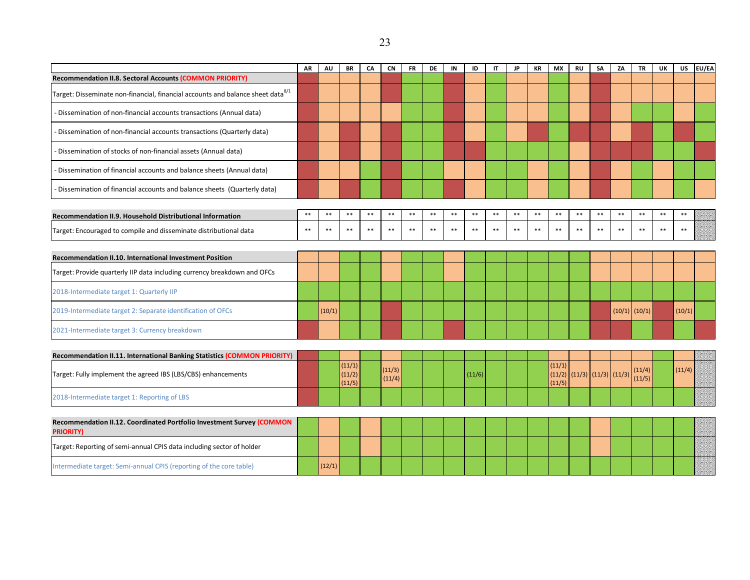|                                                                                             | AR    | AU     | BR               | CA    | <b>CN</b>        | <b>FR</b> | <b>DE</b> | IN    | ID     | $\mathsf{I}$ | <b>JP</b> | KR    | MX               | <b>RU</b> | SA                   | ZA    | <b>TR</b>         | UK    | <b>US</b> | EU/EA |
|---------------------------------------------------------------------------------------------|-------|--------|------------------|-------|------------------|-----------|-----------|-------|--------|--------------|-----------|-------|------------------|-----------|----------------------|-------|-------------------|-------|-----------|-------|
| Recommendation II.8. Sectoral Accounts (COMMON PRIORITY)                                    |       |        |                  |       |                  |           |           |       |        |              |           |       |                  |           |                      |       |                   |       |           |       |
| Target: Disseminate non-financial, financial accounts and balance sheet data <sup>8/1</sup> |       |        |                  |       |                  |           |           |       |        |              |           |       |                  |           |                      |       |                   |       |           |       |
| - Dissemination of non-financial accounts transactions (Annual data)                        |       |        |                  |       |                  |           |           |       |        |              |           |       |                  |           |                      |       |                   |       |           |       |
| - Dissemination of non-financial accounts transactions (Quarterly data)                     |       |        |                  |       |                  |           |           |       |        |              |           |       |                  |           |                      |       |                   |       |           |       |
| - Dissemination of stocks of non-financial assets (Annual data)                             |       |        |                  |       |                  |           |           |       |        |              |           |       |                  |           |                      |       |                   |       |           |       |
| - Dissemination of financial accounts and balance sheets (Annual data)                      |       |        |                  |       |                  |           |           |       |        |              |           |       |                  |           |                      |       |                   |       |           |       |
| - Dissemination of financial accounts and balance sheets (Quarterly data)                   |       |        |                  |       |                  |           |           |       |        |              |           |       |                  |           |                      |       |                   |       |           |       |
|                                                                                             | $***$ | $**$   | $**$             | $***$ | $***$            | $***$     | $***$     | $***$ | $***$  | $***$        | $***$     | $***$ | $***$            | $**$      | $**$                 | $***$ | $***$             | $***$ | $***$     |       |
| Recommendation II.9. Household Distributional Information                                   |       |        |                  |       |                  |           |           |       |        |              |           |       |                  |           |                      |       |                   |       |           |       |
| Target: Encouraged to compile and disseminate distributional data                           | $***$ | $**$   | $**$             | $***$ | $***$            | $**$      | $***$     | $**$  | $**$   | $***$        | $***$     | $**$  | $***$            | $***$     | $**$                 | $***$ | $***$             | $**$  | $***$     |       |
|                                                                                             |       |        |                  |       |                  |           |           |       |        |              |           |       |                  |           |                      |       |                   |       |           |       |
| Recommendation II.10. International Investment Position                                     |       |        |                  |       |                  |           |           |       |        |              |           |       |                  |           |                      |       |                   |       |           |       |
| Target: Provide quarterly IIP data including currency breakdown and OFCs                    |       |        |                  |       |                  |           |           |       |        |              |           |       |                  |           |                      |       |                   |       |           |       |
| 2018-Intermediate target 1: Quarterly IIP                                                   |       |        |                  |       |                  |           |           |       |        |              |           |       |                  |           |                      |       |                   |       |           |       |
| 2019-Intermediate target 2: Separate identification of OFCs                                 |       | (10/1) |                  |       |                  |           |           |       |        |              |           |       |                  |           |                      |       | $(10/1)$ $(10/1)$ |       | (10/1)    |       |
| 2021-Intermediate target 3: Currency breakdown                                              |       |        |                  |       |                  |           |           |       |        |              |           |       |                  |           |                      |       |                   |       |           |       |
|                                                                                             |       |        |                  |       |                  |           |           |       |        |              |           |       |                  |           |                      |       |                   |       |           |       |
| Recommendation II.11. International Banking Statistics (COMMON PRIORITY)                    |       |        | (11/1)           |       |                  |           |           |       |        |              |           |       | (11/1)           |           |                      |       |                   |       |           |       |
| Target: Fully implement the agreed IBS (LBS/CBS) enhancements                               |       |        | (11/2)<br>(11/5) |       | (11/3)<br>(11/4) |           |           |       | (11/6) |              |           |       | (11/2)<br>(11/5) |           | (11/3) (11/3) (11/3) |       | (11/4)<br>(11/5)  |       | (11/4)    |       |
| 2018-Intermediate target 1: Reporting of LBS                                                |       |        |                  |       |                  |           |           |       |        |              |           |       |                  |           |                      |       |                   |       |           |       |
|                                                                                             |       |        |                  |       |                  |           |           |       |        |              |           |       |                  |           |                      |       |                   |       |           |       |
| Recommendation II.12. Coordinated Portfolio Investment Survey (COMMON<br><b>PRIORITY)</b>   |       |        |                  |       |                  |           |           |       |        |              |           |       |                  |           |                      |       |                   |       |           |       |
| Target: Reporting of semi-annual CPIS data including sector of holder                       |       |        |                  |       |                  |           |           |       |        |              |           |       |                  |           |                      |       |                   |       |           |       |
| Intermediate target: Semi-annual CPIS (reporting of the core table)                         |       | (12/1) |                  |       |                  |           |           |       |        |              |           |       |                  |           |                      |       |                   |       |           |       |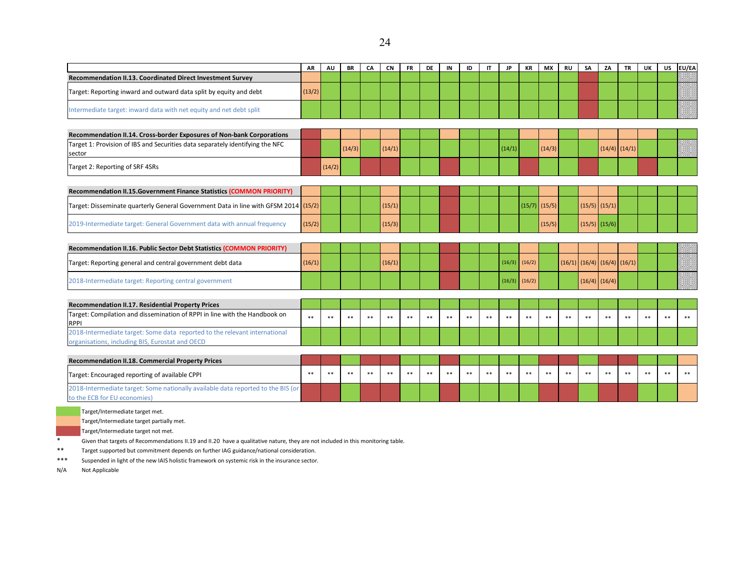|                                                                                                                               | <b>AR</b> | AU     | <b>BR</b> | CA    | <b>CN</b> | <b>FR</b> | DE | IN    | ID    | $\mathsf{I}$ | <b>JP</b> | KR     | <b>MX</b>       | <b>RU</b> | <b>SA</b> | ZA                                  | <b>TR</b>         | UK    | <b>US</b> | EU/EA |
|-------------------------------------------------------------------------------------------------------------------------------|-----------|--------|-----------|-------|-----------|-----------|----|-------|-------|--------------|-----------|--------|-----------------|-----------|-----------|-------------------------------------|-------------------|-------|-----------|-------|
| Recommendation II.13. Coordinated Direct Investment Survey                                                                    |           |        |           |       |           |           |    |       |       |              |           |        |                 |           |           |                                     |                   |       |           |       |
| Target: Reporting inward and outward data split by equity and debt                                                            | (13/2)    |        |           |       |           |           |    |       |       |              |           |        |                 |           |           |                                     |                   |       |           |       |
| Intermediate target: inward data with net equity and net debt split                                                           |           |        |           |       |           |           |    |       |       |              |           |        |                 |           |           |                                     |                   |       |           |       |
| Recommendation II.14. Cross-border Exposures of Non-bank Corporations                                                         |           |        |           |       |           |           |    |       |       |              |           |        |                 |           |           |                                     |                   |       |           |       |
| Target 1: Provision of IBS and Securities data separately identifying the NFC<br>sector                                       |           |        | (14/3)    |       | (14/1)    |           |    |       |       |              | (14/1)    |        | (14/3)          |           |           |                                     | $(14/4)$ $(14/1)$ |       |           |       |
| Target 2: Reporting of SRF 4SRs                                                                                               |           | (14/2) |           |       |           |           |    |       |       |              |           |        |                 |           |           |                                     |                   |       |           |       |
| Recommendation II.15. Government Finance Statistics (COMMON PRIORITY)                                                         |           |        |           |       |           |           |    |       |       |              |           |        |                 |           |           |                                     |                   |       |           |       |
| Target: Disseminate quarterly General Government Data in line with GFSM 2014 (15/2)                                           |           |        |           |       | (15/1)    |           |    |       |       |              |           |        | $(15/7)$ (15/5) |           |           | $(15/5)$ $(15/1)$                   |                   |       |           |       |
| 2019-Intermediate target: General Government data with annual frequency                                                       | (15/2)    |        |           |       | (15/3)    |           |    |       |       |              |           |        | (15/5)          |           |           | $(15/5)$ $(15/6)$                   |                   |       |           |       |
| Recommendation II.16. Public Sector Debt Statistics (COMMON PRIORITY)                                                         |           |        |           |       |           |           |    |       |       |              |           |        |                 |           |           |                                     |                   |       |           |       |
| Target: Reporting general and central government debt data                                                                    | (16/1)    |        |           |       | (16/1)    |           |    |       |       |              | (16/3)    | (16/2) |                 |           |           | $(16/1)$ $(16/4)$ $(16/4)$ $(16/1)$ |                   |       |           |       |
| 2018-Intermediate target: Reporting central government                                                                        |           |        |           |       |           |           |    |       |       |              | (16/3)    | (16/2) |                 |           |           | $(16/4)$ (16/4)                     |                   |       |           |       |
| <b>Recommendation II.17. Residential Property Prices</b>                                                                      |           |        |           |       |           |           |    |       |       |              |           |        |                 |           |           |                                     |                   |       |           |       |
| Target: Compilation and dissemination of RPPI in line with the Handbook on<br><b>RPPI</b>                                     | $**$      | $* *$  | $* *$     | **    | **        | $**$      | ** | $* *$ | $* *$ | $* *$        | **        | $* *$  | **              | $* *$     | $**$      | **                                  | **                | $* *$ | $* *$     | $* *$ |
| 2018-Intermediate target: Some data reported to the relevant international<br>organisations, including BIS, Eurostat and OECD |           |        |           |       |           |           |    |       |       |              |           |        |                 |           |           |                                     |                   |       |           |       |
| <b>Recommendation II.18. Commercial Property Prices</b>                                                                       |           |        |           |       |           |           |    |       |       |              |           |        |                 |           |           |                                     |                   |       |           |       |
| Target: Encouraged reporting of available CPPI                                                                                | $* *$     | **     | **        | $***$ | **        | **        | ** | **    | **    | $* *$        | **        | **     | **              | **        | **        | **                                  | **                | **    | **        | $* *$ |
| 2018-Intermediate target: Some nationally available data reported to the BIS (or<br>to the ECB for EU economies)              |           |        |           |       |           |           |    |       |       |              |           |        |                 |           |           |                                     |                   |       |           |       |
| Target/Intermediate target met.                                                                                               |           |        |           |       |           |           |    |       |       |              |           |        |                 |           |           |                                     |                   |       |           |       |
| Target/Intermediate target partially met.                                                                                     |           |        |           |       |           |           |    |       |       |              |           |        |                 |           |           |                                     |                   |       |           |       |

Target/Intermediate target not met.

\* Given that targets of Recommendations II.19 and II.20 have a qualitative nature, they are not included in this monitoring table.<br>\*\* Target supported but commitment depends on further IAG guidance/national consideration.

\*\* Target supported but commitment depends on further IAG guidance/national consideration.<br>\*\*\* Suspended in light of the new IAIS holistic framework on systemic risk in the insurance sector.

Suspended in light of the new IAIS holistic framework on systemic risk in the insurance sector.

N/A Not Applicable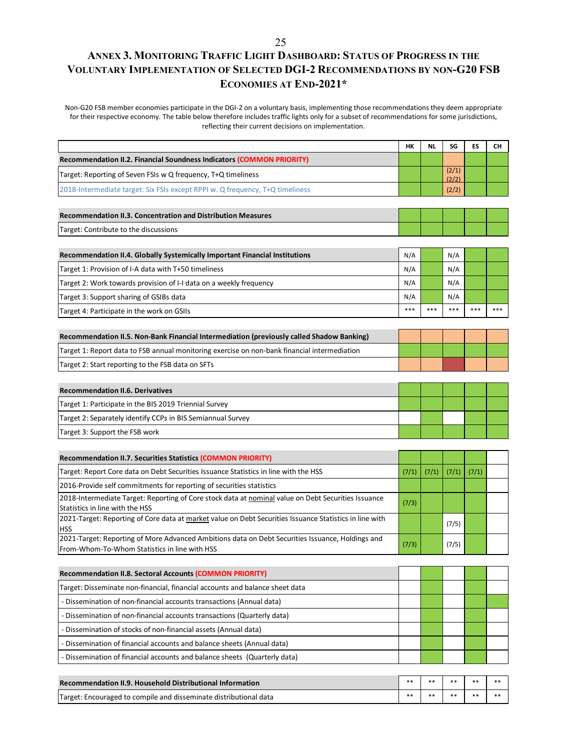# **ANNEX 3. MONITORING TRAFFIC LIGHT DASHBOARD: STATUS OF PROGRESS IN THE VOLUNTARY IMPLEMENTATION OF SELECTED DGI-2 RECOMMENDATIONS BY NON-G20 FSB ECONOMIES AT END-2021\***

Non-G20 FSB member economies participate in the DGI-2 on a voluntary basis, implementing those recommendations they deem appropriate for their respective economy. The table below therefore includes traffic lights only for a subset of recommendations for some jurisdictions, reflecting their current decisions on implementation.

|                                                                                                                                            | НΚ    | <b>NL</b> | SG             | ES    | CН    |
|--------------------------------------------------------------------------------------------------------------------------------------------|-------|-----------|----------------|-------|-------|
| <b>Recommendation II.2. Financial Soundness Indicators (COMMON PRIORITY)</b>                                                               |       |           |                |       |       |
| Target: Reporting of Seven FSIs w Q frequency, T+Q timeliness                                                                              |       |           | (2/1)<br>(2/2) |       |       |
| 2018-Intermediate target: Six FSIs except RPPI w. Q frequency, T+Q timeliness                                                              |       |           | (2/2)          |       |       |
|                                                                                                                                            |       |           |                |       |       |
| <b>Recommendation II.3. Concentration and Distribution Measures</b>                                                                        |       |           |                |       |       |
| Target: Contribute to the discussions                                                                                                      |       |           |                |       |       |
|                                                                                                                                            |       |           |                |       |       |
| Recommendation II.4. Globally Systemically Important Financial Institutions                                                                | N/A   |           | N/A            |       |       |
| Target 1: Provision of I-A data with T+50 timeliness                                                                                       | N/A   |           | N/A            |       |       |
| Target 2: Work towards provision of I-I data on a weekly frequency                                                                         | N/A   |           | N/A            |       |       |
| Target 3: Support sharing of GSIBs data                                                                                                    | N/A   |           | N/A            |       |       |
| Target 4: Participate in the work on GSIIs                                                                                                 | ***   | ***       | ***            | ***   |       |
| Recommendation II.5. Non-Bank Financial Intermediation (previously called Shadow Banking)                                                  |       |           |                |       |       |
| Target 1: Report data to FSB annual monitoring exercise on non-bank financial intermediation                                               |       |           |                |       |       |
| Target 2: Start reporting to the FSB data on SFTs                                                                                          |       |           |                |       |       |
|                                                                                                                                            |       |           |                |       |       |
| <b>Recommendation II.6. Derivatives</b>                                                                                                    |       |           |                |       |       |
| Target 1: Participate in the BIS 2019 Triennial Survey                                                                                     |       |           |                |       |       |
| Target 2: Separately identify CCPs in BIS Semiannual Survey                                                                                |       |           |                |       |       |
| Target 3: Support the FSB work                                                                                                             |       |           |                |       |       |
|                                                                                                                                            |       |           |                |       |       |
| <b>Recommendation II.7. Securities Statistics (COMMON PRIORITY)</b>                                                                        |       |           |                |       |       |
| Target: Report Core data on Debt Securities Issuance Statistics in line with the HSS                                                       | (7/1) | (7/1)     | (7/1)          | (7/1) |       |
| 2016-Provide self commitments for reporting of securities statistics                                                                       |       |           |                |       |       |
| 2018-Intermediate Target: Reporting of Core stock data at nominal value on Debt Securities Issuance                                        | (7/3) |           |                |       |       |
| Statistics in line with the HSS<br>2021-Target: Reporting of Core data at market value on Debt Securities Issuance Statistics in line with |       |           |                |       |       |
| <b>HSS</b>                                                                                                                                 |       |           | (7/5)          |       |       |
| 2021-Target: Reporting of More Advanced Ambitions data on Debt Securities Issuance, Holdings and                                           | (7/3) |           | (7/5)          |       |       |
| From-Whom-To-Whom Statistics in line with HSS                                                                                              |       |           |                |       |       |
| <b>Recommendation II.8. Sectoral Accounts (COMMON PRIORITY)</b>                                                                            |       |           |                |       |       |
| Target: Disseminate non-financial, financial accounts and balance sheet data                                                               |       |           |                |       |       |
| - Dissemination of non-financial accounts transactions (Annual data)                                                                       |       |           |                |       |       |
| - Dissemination of non-financial accounts transactions (Quarterly data)                                                                    |       |           |                |       |       |
| - Dissemination of stocks of non-financial assets (Annual data)                                                                            |       |           |                |       |       |
| - Dissemination of financial accounts and balance sheets (Annual data)                                                                     |       |           |                |       |       |
| - Dissemination of financial accounts and balance sheets (Quarterly data)                                                                  |       |           |                |       |       |
|                                                                                                                                            |       |           |                |       |       |
| Recommendation II.9. Household Distributional Information                                                                                  | **    | $* *$     | $* *$          | **    | $* *$ |

Target: Encouraged to compile and disseminate distributional data \*\* \*\* \*\* \*\* \*\*

25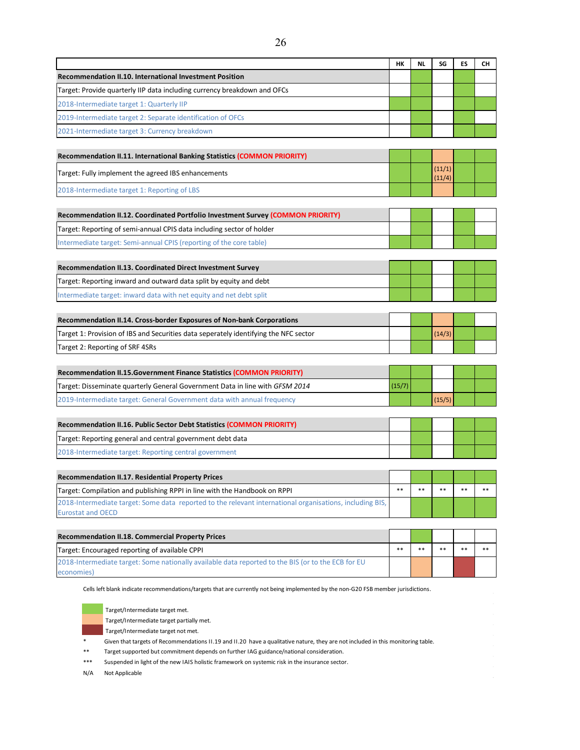| <b>Recommendation II.10. International Investment Position</b><br>Target: Provide quarterly IIP data including currency breakdown and OFCs<br>2018-Intermediate target 1: Quarterly IIP<br>2019-Intermediate target 2: Separate identification of OFCs<br>2021-Intermediate target 3: Currency breakdown |        |       |                  |    |      |
|----------------------------------------------------------------------------------------------------------------------------------------------------------------------------------------------------------------------------------------------------------------------------------------------------------|--------|-------|------------------|----|------|
|                                                                                                                                                                                                                                                                                                          |        |       |                  |    |      |
|                                                                                                                                                                                                                                                                                                          |        |       |                  |    |      |
|                                                                                                                                                                                                                                                                                                          |        |       |                  |    |      |
|                                                                                                                                                                                                                                                                                                          |        |       |                  |    |      |
|                                                                                                                                                                                                                                                                                                          |        |       |                  |    |      |
|                                                                                                                                                                                                                                                                                                          |        |       |                  |    |      |
| Recommendation II.11. International Banking Statistics (COMMON PRIORITY)                                                                                                                                                                                                                                 |        |       |                  |    |      |
| Target: Fully implement the agreed IBS enhancements                                                                                                                                                                                                                                                      |        |       | (11/1)<br>(11/4) |    |      |
| 2018-Intermediate target 1: Reporting of LBS                                                                                                                                                                                                                                                             |        |       |                  |    |      |
| Recommendation II.12. Coordinated Portfolio Investment Survey (COMMON PRIORITY)                                                                                                                                                                                                                          |        |       |                  |    |      |
| Target: Reporting of semi-annual CPIS data including sector of holder                                                                                                                                                                                                                                    |        |       |                  |    |      |
| Intermediate target: Semi-annual CPIS (reporting of the core table)                                                                                                                                                                                                                                      |        |       |                  |    |      |
|                                                                                                                                                                                                                                                                                                          |        |       |                  |    |      |
| <b>Recommendation II.13. Coordinated Direct Investment Survey</b>                                                                                                                                                                                                                                        |        |       |                  |    |      |
| Target: Reporting inward and outward data split by equity and debt                                                                                                                                                                                                                                       |        |       |                  |    |      |
| Intermediate target: inward data with net equity and net debt split                                                                                                                                                                                                                                      |        |       |                  |    |      |
|                                                                                                                                                                                                                                                                                                          |        |       |                  |    |      |
| Recommendation II.14. Cross-border Exposures of Non-bank Corporations                                                                                                                                                                                                                                    |        |       |                  |    |      |
| Target 1: Provision of IBS and Securities data seperately identifying the NFC sector                                                                                                                                                                                                                     |        |       | (14/3)           |    |      |
| Target 2: Reporting of SRF 4SRs                                                                                                                                                                                                                                                                          |        |       |                  |    |      |
|                                                                                                                                                                                                                                                                                                          |        |       |                  |    |      |
| Recommendation II.15. Government Finance Statistics (COMMON PRIORITY)                                                                                                                                                                                                                                    |        |       |                  |    |      |
| Target: Disseminate quarterly General Government Data in line with GFSM 2014                                                                                                                                                                                                                             | (15/7) |       |                  |    |      |
| 2019-Intermediate target: General Government data with annual frequency                                                                                                                                                                                                                                  |        |       | (15/5)           |    |      |
|                                                                                                                                                                                                                                                                                                          |        |       |                  |    |      |
| Recommendation II.16. Public Sector Debt Statistics (COMMON PRIORITY)                                                                                                                                                                                                                                    |        |       |                  |    |      |
| Target: Reporting general and central government debt data                                                                                                                                                                                                                                               |        |       |                  |    |      |
| 2018-Intermediate target: Reporting central government                                                                                                                                                                                                                                                   |        |       |                  |    |      |
|                                                                                                                                                                                                                                                                                                          |        |       |                  |    |      |
| Recommendation II.17. Residential Property Prices                                                                                                                                                                                                                                                        |        |       |                  |    |      |
| Target: Compilation and publishing RPPI in line with the Handbook on RPPI                                                                                                                                                                                                                                | $**$   | $**$  | **               | ** | **   |
| 2018-Intermediate target: Some data reported to the relevant international organisations, including BIS,<br><b>Eurostat and OECD</b>                                                                                                                                                                     |        |       |                  |    |      |
|                                                                                                                                                                                                                                                                                                          |        |       |                  |    |      |
| Recommendation II.18. Commercial Property Prices                                                                                                                                                                                                                                                         |        |       |                  |    |      |
| Target: Encouraged reporting of available CPPI                                                                                                                                                                                                                                                           | $**$   | $***$ | **               | ** | $**$ |
| 2018-Intermediate target: Some nationally available data reported to the BIS (or to the ECB for EU                                                                                                                                                                                                       |        |       |                  |    |      |
| economies)                                                                                                                                                                                                                                                                                               |        |       |                  |    |      |
| Cells left blank indicate recommendations/targets that are currently not being implemented by the non-G20 FSB member jurisdictions.                                                                                                                                                                      |        |       |                  |    |      |
| Target/Intermediate target met.                                                                                                                                                                                                                                                                          |        |       |                  |    |      |
| Target/Intermediate target partially met.                                                                                                                                                                                                                                                                |        |       |                  |    |      |
| Target/Intermediate target not met.                                                                                                                                                                                                                                                                      |        |       |                  |    |      |
| Given that targets of Recommendations II.19 and II.20 have a qualitative nature, they are not included in this monitoring table.<br>$***$<br>Target supported but commitment depends on further IAG guidance/national consideration.                                                                     |        |       |                  |    |      |

\*\*\* Suspended in light of the new IAIS holistic framework on systemic risk in the insurance sector.

N/A Not Applicable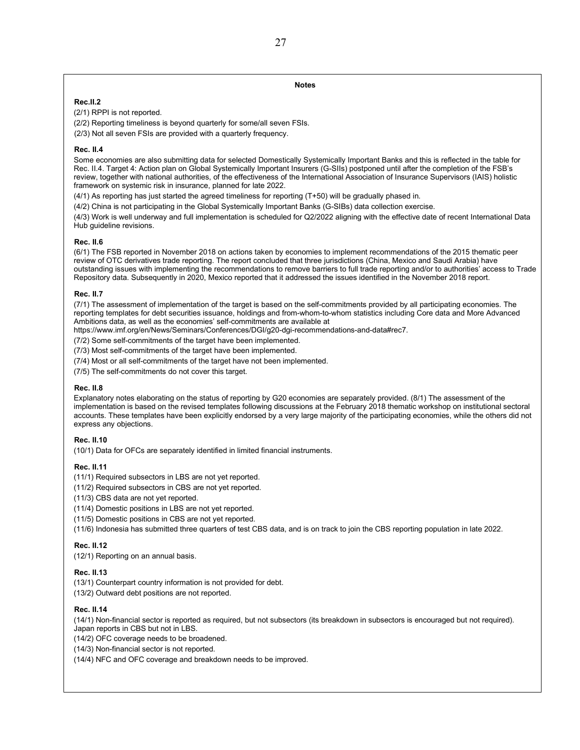#### **Notes**

#### **Rec.II.2**

(2/1) RPPI is not reported.

(2/2) Reporting timeliness is beyond quarterly for some/all seven FSIs.

(2/3) Not all seven FSIs are provided with a quarterly frequency.

#### **Rec. II.4**

Some economies are also submitting data for selected Domestically Systemically Important Banks and this is reflected in the table for Rec. II.4. Target 4: Action plan on Global Systemically Important Insurers (G-SIIs) postponed until after the completion of the FSB's review, together with national authorities, of the effectiveness of the International Association of Insurance Supervisors (IAIS) holistic framework on systemic risk in insurance, planned for late 2022.

(4/1) As reporting has just started the agreed timeliness for reporting (T+50) will be gradually phased in.

(4/2) China is not participating in the Global Systemically Important Banks (G-SIBs) data collection exercise.

(4/3) Work is well underway and full implementation is scheduled for Q2/2022 aligning with the effective date of recent International Data Hub guideline revisions.

#### **Rec. II.6**

(6/1) The FSB reported in November 2018 on actions taken by economies to implement recommendations of the 2015 thematic peer review of OTC derivatives trade reporting. The report concluded that three jurisdictions (China, Mexico and Saudi Arabia) have outstanding issues with implementing the recommendations to remove barriers to full trade reporting and/or to authorities' access to Trade Repository data. Subsequently in 2020, Mexico reported that it addressed the issues identified in the November 2018 report.

#### **Rec. II.7**

(7/1) The assessment of implementation of the target is based on the self-commitments provided by all participating economies. The reporting templates for debt securities issuance, holdings and from-whom-to-whom statistics including Core data and More Advanced Ambitions data, as well as the economies' self-commitments are available at

[https://www.imf.org/en/News/Seminars/Conferences/DGI/g20-dgi-recommendations-and-data#rec7.](https://www.imf.org/en/News/Seminars/Conferences/DGI/g20-dgi-recommendations-and-data#rec7)

(7/2) Some self-commitments of the target have been implemented.

(7/3) Most self-commitments of the target have been implemented.

(7/4) Most or all self-commitments of the target have not been implemented.

(7/5) The self-commitments do not cover this target.

#### **Rec. II.8**

Explanatory notes elaborating on the status of reporting by G20 economies are separately provided. (8/1) The assessment of the implementation is based on the revised templates following discussions at the February 2018 thematic workshop on institutional sectoral accounts. These templates have been explicitly endorsed by a very large majority of the participating economies, while the others did not express any objections.

#### **Rec. II.10**

(10/1) Data for OFCs are separately identified in limited financial instruments.

#### **Rec. II.11**

(11/1) Required subsectors in LBS are not yet reported.

(11/2) Required subsectors in CBS are not yet reported.

(11/3) CBS data are not yet reported.

(11/4) Domestic positions in LBS are not yet reported.

(11/5) Domestic positions in CBS are not yet reported.

(11/6) Indonesia has submitted three quarters of test CBS data, and is on track to join the CBS reporting population in late 2022.

#### **Rec. II.12**

(12/1) Reporting on an annual basis.

#### **Rec. II.13**

(13/1) Counterpart country information is not provided for debt.

(13/2) Outward debt positions are not reported.

#### **Rec. II.14**

(14/1) Non-financial sector is reported as required, but not subsectors (its breakdown in subsectors is encouraged but not required). Japan reports in CBS but not in LBS.

(14/2) OFC coverage needs to be broadened.

(14/3) Non-financial sector is not reported.

(14/4) NFC and OFC coverage and breakdown needs to be improved.